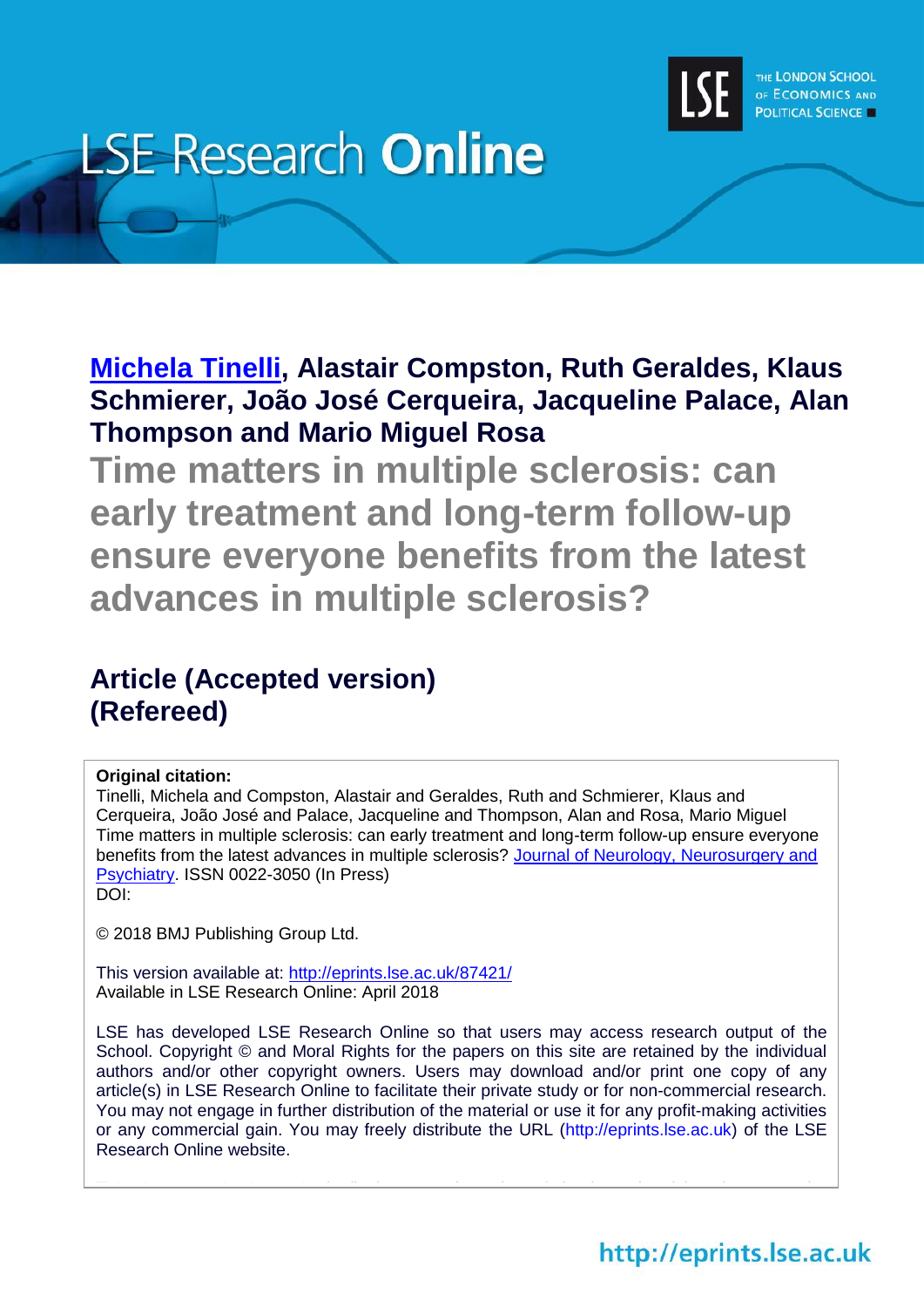

# **LSE Research Online**

**[Michela Tinelli,](http://www.lse.ac.uk/researchAndExpertise/Experts/profile.aspx?KeyValue=m.tinelli@lse.ac.uk) Alastair Compston, Ruth Geraldes, Klaus Schmierer, João José Cerqueira, Jacqueline Palace, Alan Thompson and Mario Miguel Rosa**

**Time matters in multiple sclerosis: can early treatment and long-term follow-up ensure everyone benefits from the latest advances in multiple sclerosis?**

# **Article (Accepted version) (Refereed)**

# **Original citation:**

Tinelli, Michela and Compston, Alastair and Geraldes, Ruth and Schmierer, Klaus and Cerqueira, João José and Palace, Jacqueline and Thompson, Alan and Rosa, Mario Miguel Time matters in multiple sclerosis: can early treatment and long-term follow-up ensure everyone benefits from the latest advances in multiple sclerosis? Journal of Neurology, Neurosurgery and [Psychiatry.](http://jnnp.bmj.com/) ISSN 0022-3050 (In Press) DOI:

© 2018 BMJ Publishing Group Ltd.

This version available at:<http://eprints.lse.ac.uk/87421/> Available in LSE Research Online: April 2018

LSE has developed LSE Research Online so that users may access research output of the School. Copyright © and Moral Rights for the papers on this site are retained by the individual authors and/or other copyright owners. Users may download and/or print one copy of any article(s) in LSE Research Online to facilitate their private study or for non-commercial research. You may not engage in further distribution of the material or use it for any profit-making activities or any commercial gain. You may freely distribute the URL (http://eprints.lse.ac.uk) of the LSE Research Online website.

This document is the authoris final accepted version of the journal accepted version of the journal article. There may be a strong of the journal article. There may be a strong version of the journal article. There may be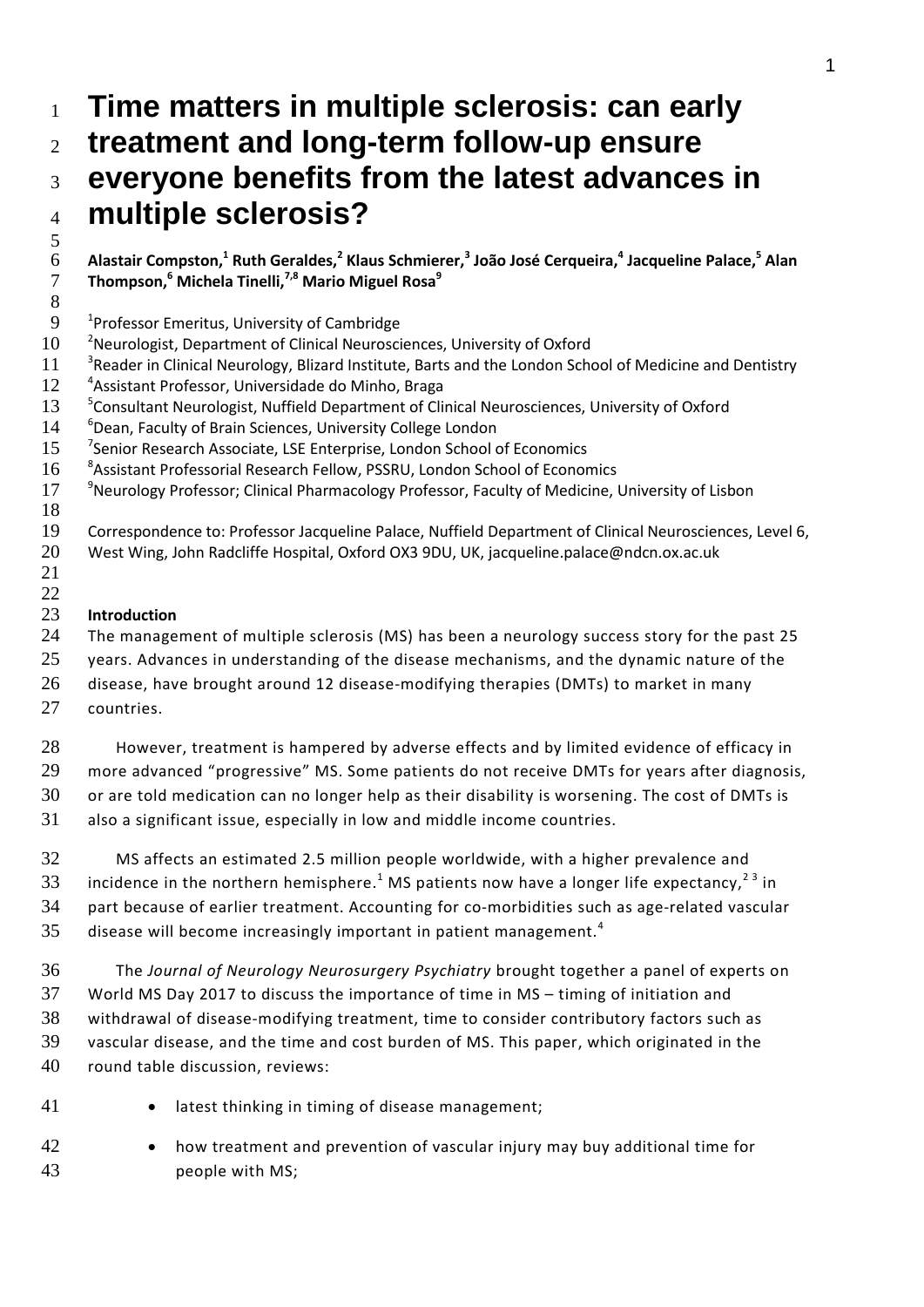# **Time matters in multiple sclerosis: can early treatment and long-term follow-up ensure everyone benefits from the latest advances in multiple sclerosis?**

- **Alastair Compston,<sup>1</sup> Ruth Geraldes,<sup>2</sup> Klaus Schmierer,<sup>3</sup> João José Cerqueira,<sup>4</sup> Jacqueline Palace,<sup>5</sup> Alan Thompson,<sup>6</sup> Michela Tinelli,7,8 Mario Miguel Rosa<sup>9</sup>**
- 
- 9 <sup>1</sup> Professor Emeritus, University of Cambridge
- 10 <sup>2</sup>Neurologist, Department of Clinical Neurosciences, University of Oxford
- 11 <sup>3</sup> Reader in Clinical Neurology, Blizard Institute, Barts and the London School of Medicine and Dentistry
- 12 <sup>4</sup> Assistant Professor, Universidade do Minho, Braga
- 13 <sup>5</sup> Consultant Neurologist, Nuffield Department of Clinical Neurosciences, University of Oxford
- 14 <sup>6</sup>Dean, Faculty of Brain Sciences, University College London
- 15 <sup>7</sup>Senior Research Associate, LSE Enterprise, London School of Economics
- 16 <sup>8</sup> Assistant Professorial Research Fellow, PSSRU, London School of Economics
- 17 <sup>9</sup>Neurology Professor; Clinical Pharmacology Professor, Faculty of Medicine, University of Lisbon
- Correspondence to: Professor Jacqueline Palace, Nuffield Department of Clinical Neurosciences, Level 6,
	- West Wing, John Radcliffe Hospital, Oxford OX3 9DU, UK, jacqueline.palace@ndcn.ox.ac.uk
	-

# **Introduction**

 The management of multiple sclerosis (MS) has been a neurology success story for the past 25 25 years. Advances in understanding of the disease mechanisms, and the dynamic nature of the disease, have brought around 12 disease-modifying therapies (DMTs) to market in many

countries.

 However, treatment is hampered by adverse effects and by limited evidence of efficacy in more advanced "progressive" MS. Some patients do not receive DMTs for years after diagnosis, or are told medication can no longer help as their disability is worsening. The cost of DMTs is also a significant issue, especially in low and middle income countries.

 MS affects an estimated 2.5 million people worldwide, with a higher prevalence and 33 incidence in the northern hemisphere.<sup>1</sup> MS patients now have a longer life expectancy,<sup>23</sup> in part because of earlier treatment. Accounting for co-morbidities such as age-related vascular disease will become increasingly important in patient management.<sup>4</sup> 

 The *Journal of Neurology Neurosurgery Psychiatry* brought together a panel of experts on World MS Day 2017 to discuss the importance of time in MS – timing of initiation and withdrawal of disease-modifying treatment, time to consider contributory factors such as vascular disease, and the time and cost burden of MS. This paper, which originated in the round table discussion, reviews:

- 41 latest thinking in timing of disease management;
- how treatment and prevention of vascular injury may buy additional time for people with MS;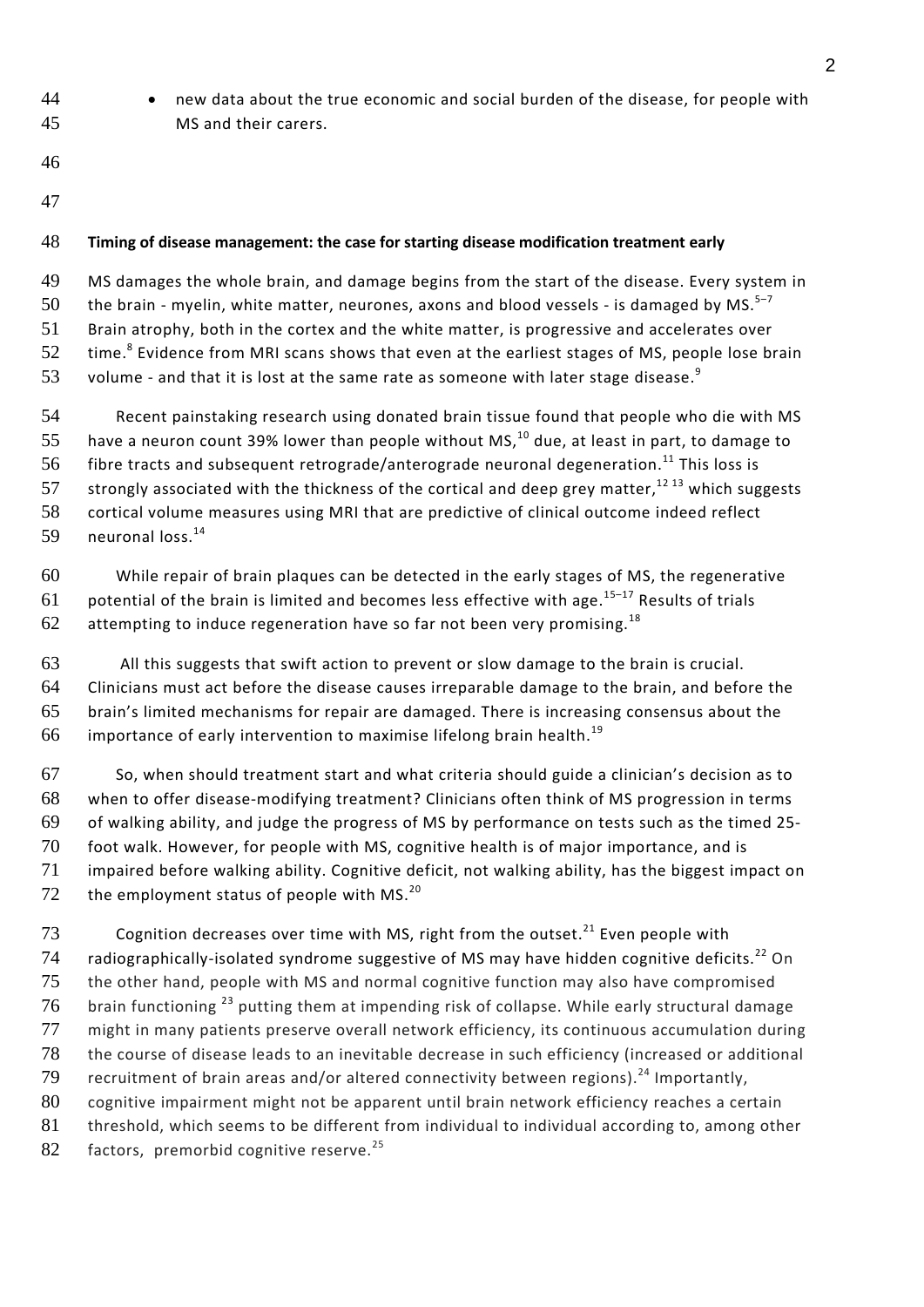- new data about the true economic and social burden of the disease, for people with MS and their carers.
- 
- 

# **Timing of disease management: the case for starting disease modification treatment early**

MS damages the whole brain, and damage begins from the start of the disease. Every system in

the brain - myelin, white matter, neurones, axons and blood vessels - is damaged by MS.<sup>5-7</sup> 

Brain atrophy, both in the cortex and the white matter, is progressive and accelerates over

 $\pm$  time.<sup>8</sup> Evidence from MRI scans shows that even at the earliest stages of MS, people lose brain

volume - and that it is lost at the same rate as someone with later stage disease. $^9$ 

 Recent painstaking research using donated brain tissue found that people who die with MS 55 have a neuron count 39% lower than people without MS,<sup>10</sup> due, at least in part, to damage to  $-$  fibre tracts and subsequent retrograde/anterograde neuronal degeneration.<sup>11</sup> This loss is 57 strongly associated with the thickness of the cortical and deep grey matter,<sup>12 13</sup> which suggests cortical volume measures using MRI that are predictive of clinical outcome indeed reflect 59 neuronal  $loss.<sup>14</sup>$ 

 While repair of brain plaques can be detected in the early stages of MS, the regenerative 61 potential of the brain is limited and becomes less effective with age. $15-17$  Results of trials 62 attempting to induce regeneration have so far not been very promising.<sup>18</sup>

 All this suggests that swift action to prevent or slow damage to the brain is crucial. Clinicians must act before the disease causes irreparable damage to the brain, and before the brain's limited mechanisms for repair are damaged. There is increasing consensus about the 66 importance of early intervention to maximise lifelong brain health.<sup>19</sup>

 So, when should treatment start and what criteria should guide a clinician's decision as to when to offer disease-modifying treatment? Clinicians often think of MS progression in terms of walking ability, and judge the progress of MS by performance on tests such as the timed 25- foot walk. However, for people with MS, cognitive health is of major importance, and is impaired before walking ability. Cognitive deficit, not walking ability, has the biggest impact on 72 the employment status of people with MS. $^{20}$ 

73 Cognition decreases over time with MS, right from the outset.<sup>21</sup> Even people with 74 radiographically-isolated syndrome suggestive of MS may have hidden cognitive deficits.<sup>22</sup> On the other hand, people with MS and normal cognitive function may also have compromised brain functioning  $^{23}$  putting them at impending risk of collapse. While early structural damage might in many patients preserve overall network efficiency, its continuous accumulation during the course of disease leads to an inevitable decrease in such efficiency (increased or additional 79 recruitment of brain areas and/or altered connectivity between regions).<sup>24</sup> Importantly, cognitive impairment might not be apparent until brain network efficiency reaches a certain 81 threshold, which seems to be different from individual to individual according to, among other 82 factors, premorbid cognitive reserve.<sup>25</sup>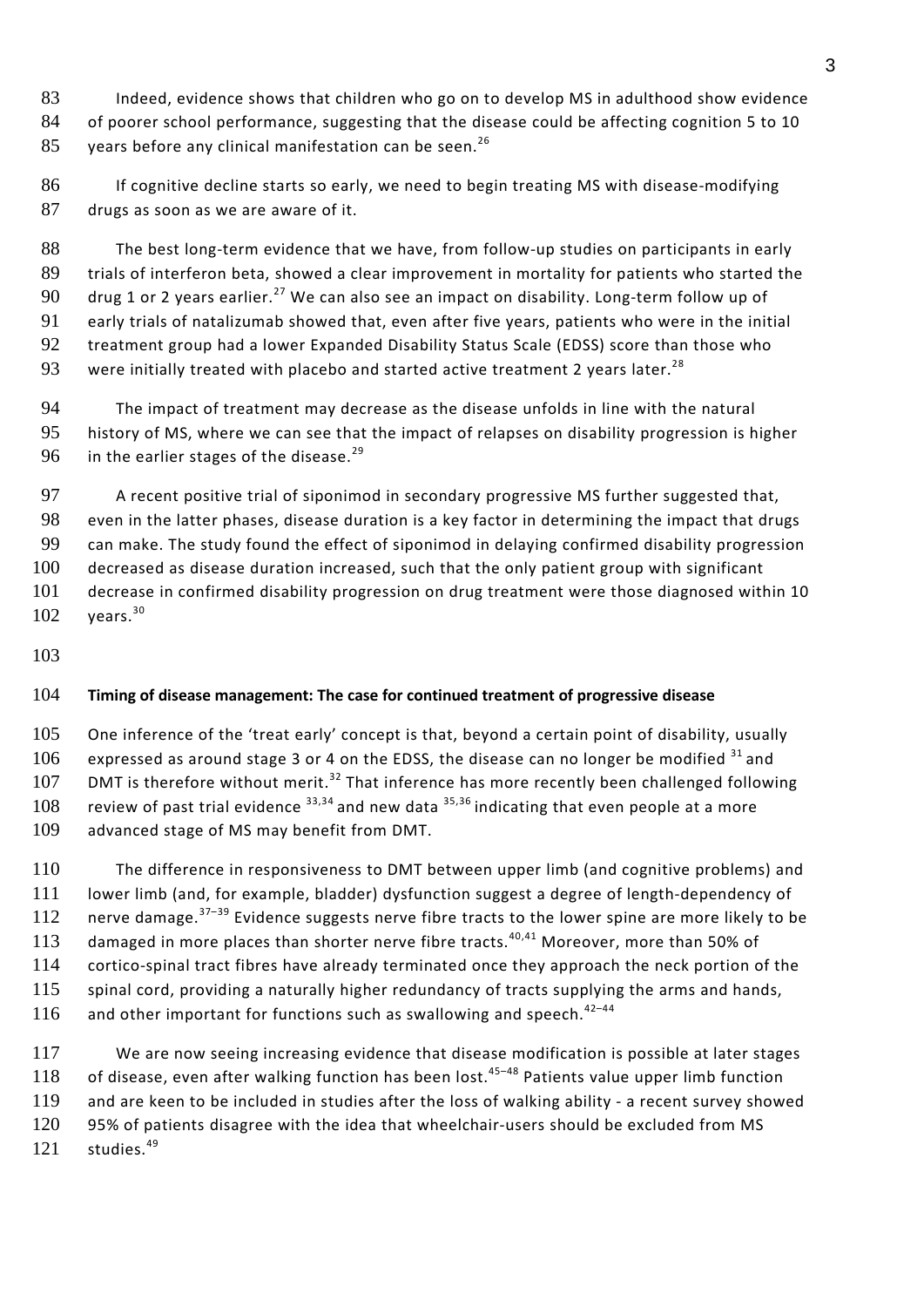Indeed, evidence shows that children who go on to develop MS in adulthood show evidence of poorer school performance, suggesting that the disease could be affecting cognition 5 to 10 85 years before any clinical manifestation can be seen.<sup>26</sup>

86 If cognitive decline starts so early, we need to begin treating MS with disease-modifying drugs as soon as we are aware of it.

 The best long-term evidence that we have, from follow-up studies on participants in early trials of interferon beta, showed a clear improvement in mortality for patients who started the 90 drug 1 or 2 years earlier.<sup>27</sup> We can also see an impact on disability. Long-term follow up of early trials of natalizumab showed that, even after five years, patients who were in the initial 92 treatment group had a lower Expanded Disability Status Scale (EDSS) score than those who were initially treated with placebo and started active treatment 2 years later.<sup>28</sup> 

 The impact of treatment may decrease as the disease unfolds in line with the natural history of MS, where we can see that the impact of relapses on disability progression is higher in the earlier stages of the disease.<sup>29</sup> 

97 A recent positive trial of siponimod in secondary progressive MS further suggested that, even in the latter phases, disease duration is a key factor in determining the impact that drugs can make. The study found the effect of siponimod in delaying confirmed disability progression decreased as disease duration increased, such that the only patient group with significant decrease in confirmed disability progression on drug treatment were those diagnosed within 10 years.<sup>30</sup> 

# **Timing of disease management: The case for continued treatment of progressive disease**

 One inference of the 'treat early' concept is that, beyond a certain point of disability, usually 106 expressed as around stage 3 or 4 on the EDSS, the disease can no longer be modified and 107 DMT is therefore without merit.<sup>32</sup> That inference has more recently been challenged following 108 review of past trial evidence  $33,34$  and new data  $35,36$  indicating that even people at a more advanced stage of MS may benefit from DMT.

 The difference in responsiveness to DMT between upper limb (and cognitive problems) and lower limb (and, for example, bladder) dysfunction suggest a degree of length-dependency of 112 nerve damage.  $37-39$  Evidence suggests nerve fibre tracts to the lower spine are more likely to be 113 damaged in more places than shorter nerve fibre tracts.<sup>40,41</sup> Moreover, more than 50% of cortico-spinal tract fibres have already terminated once they approach the neck portion of the 115 spinal cord, providing a naturally higher redundancy of tracts supplying the arms and hands, and other important for functions such as swallowing and speech.<sup>42-44</sup> 

 We are now seeing increasing evidence that disease modification is possible at later stages 118 of disease, even after walking function has been lost.<sup>45-48</sup> Patients value upper limb function and are keen to be included in studies after the loss of walking ability - a recent survey showed 95% of patients disagree with the idea that wheelchair-users should be excluded from MS studies.<sup>49</sup>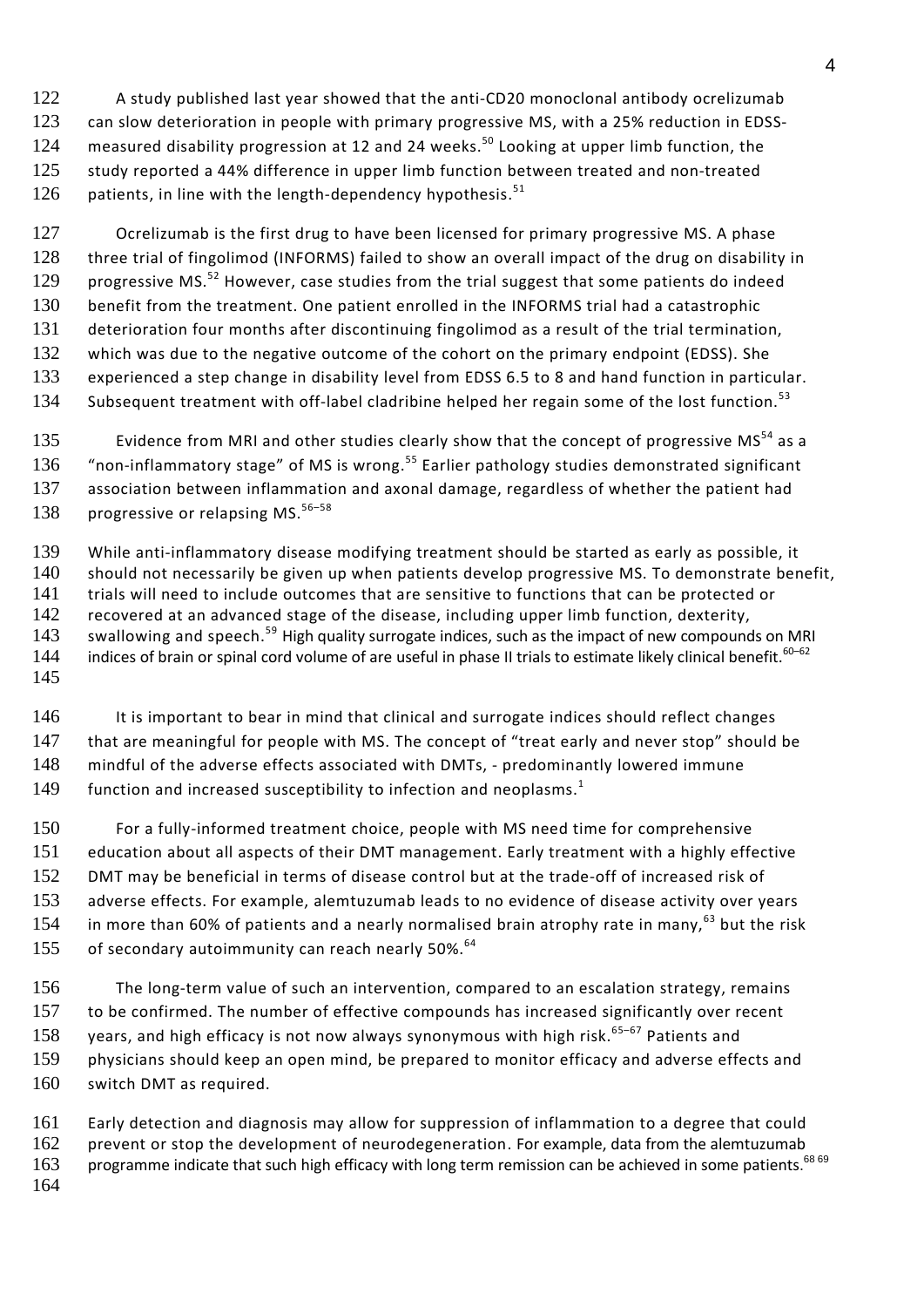A study published last year showed that the anti-CD20 monoclonal antibody ocrelizumab can slow deterioration in people with primary progressive MS, with a 25% reduction in EDSS-124 measured disability progression at 12 and 24 weeks.<sup>50</sup> Looking at upper limb function, the study reported a 44% difference in upper limb function between treated and non-treated patients, in line with the length-dependency hypothesis.<sup>51</sup> 

127 Ocrelizumab is the first drug to have been licensed for primary progressive MS. A phase three trial of fingolimod (INFORMS) failed to show an overall impact of the drug on disability in 129 progressive MS.<sup>52</sup> However, case studies from the trial suggest that some patients do indeed benefit from the treatment. One patient enrolled in the INFORMS trial had a catastrophic deterioration four months after discontinuing fingolimod as a result of the trial termination, which was due to the negative outcome of the cohort on the primary endpoint (EDSS). She experienced a step change in disability level from EDSS 6.5 to 8 and hand function in particular. 134 Subsequent treatment with off-label cladribine helped her regain some of the lost function.<sup>53</sup>

135 Evidence from MRI and other studies clearly show that the concept of progressive MS<sup>54</sup> as a 136 "non-inflammatory stage" of MS is wrong.<sup>55</sup> Earlier pathology studies demonstrated significant association between inflammation and axonal damage, regardless of whether the patient had 138 progressive or relapsing MS. $56-58$ 

 While anti-inflammatory disease modifying treatment should be started as early as possible, it should not necessarily be given up when patients develop progressive MS. To demonstrate benefit, trials will need to include outcomes that are sensitive to functions that can be protected or recovered at an advanced stage of the disease, including upper limb function, dexterity, 143 swallowing and speech.<sup>59</sup> High quality surrogate indices, such as the impact of new compounds on MRI 144 indices of brain or spinal cord volume of are useful in phase II trials to estimate likely clinical benefit.<sup>60–62</sup> 

146 It is important to bear in mind that clinical and surrogate indices should reflect changes 147 that are meaningful for people with MS. The concept of "treat early and never stop" should be mindful of the adverse effects associated with DMTs, - predominantly lowered immune function and increased susceptibility to infection and neoplasms.<sup>1</sup> 

 For a fully-informed treatment choice, people with MS need time for comprehensive education about all aspects of their DMT management. Early treatment with a highly effective DMT may be beneficial in terms of disease control but at the trade-off of increased risk of adverse effects. For example, alemtuzumab leads to no evidence of disease activity over years 154 in more than 60% of patients and a nearly normalised brain atrophy rate in many, but the risk 155 of secondary autoimmunity can reach nearly 50%.<sup>64</sup>

 The long-term value of such an intervention, compared to an escalation strategy, remains to be confirmed. The number of effective compounds has increased significantly over recent 158 years, and high efficacy is not now always synonymous with high risk. $65-67$  Patients and physicians should keep an open mind, be prepared to monitor efficacy and adverse effects and switch DMT as required.

 Early detection and diagnosis may allow for suppression of inflammation to a degree that could 162 prevent or stop the development of neurodegeneration. For example, data from the alemtuzumab 163 programme indicate that such high efficacy with long term remission can be achieved in some patients.<sup>68 69</sup>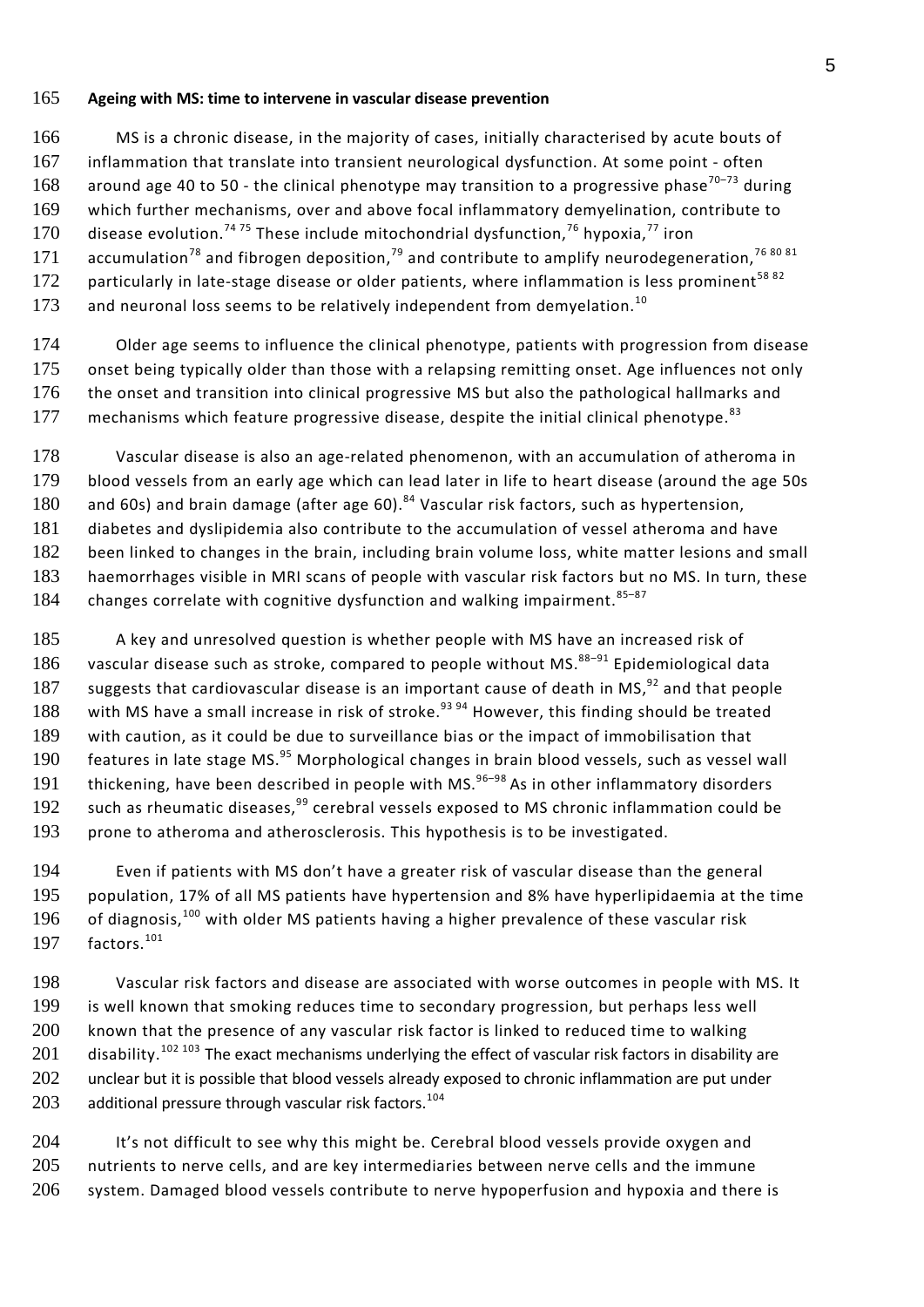#### 165 **Ageing with MS: time to intervene in vascular disease prevention**

166 MS is a chronic disease, in the majority of cases, initially characterised by acute bouts of 167 inflammation that translate into transient neurological dysfunction. At some point - often 168 around age 40 to 50 - the clinical phenotype may transition to a progressive phase<sup>70-73</sup> during 169 which further mechanisms, over and above focal inflammatory demyelination, contribute to 170 disease evolution.<sup>74 75</sup> These include mitochondrial dysfunction,<sup>76</sup> hypoxia,<sup>77</sup> iron 171 accumulation<sup>78</sup> and fibrogen deposition,<sup>79</sup> and contribute to amplify neurodegeneration,<sup>76 80 81</sup> 172 particularly in late-stage disease or older patients, where inflammation is less prominent<sup>58 82</sup> 173 and neuronal loss seems to be relatively independent from demyelation.<sup>10</sup>

174 Older age seems to influence the clinical phenotype, patients with progression from disease 175 onset being typically older than those with a relapsing remitting onset. Age influences not only 176 the onset and transition into clinical progressive MS but also the pathological hallmarks and 177 mechanisms which feature progressive disease, despite the initial clinical phenotype.<sup>83</sup>

 Vascular disease is also an age-related phenomenon, with an accumulation of atheroma in blood vessels from an early age which can lead later in life to heart disease (around the age 50s 180 and 60s) and brain damage (after age 60).<sup>84</sup> Vascular risk factors, such as hypertension, diabetes and dyslipidemia also contribute to the accumulation of vessel atheroma and have been linked to changes in the brain, including brain volume loss, white matter lesions and small haemorrhages visible in MRI scans of people with vascular risk factors but no MS. In turn, these 184 changes correlate with cognitive dysfunction and walking impairment.  $85-87$ 

185 A key and unresolved question is whether people with MS have an increased risk of 186 vascular disease such as stroke, compared to people without MS. $88-91$  Epidemiological data 187 suggests that cardiovascular disease is an important cause of death in MS, $92$  and that people 188 with MS have a small increase in risk of stroke.<sup>93 94</sup> However, this finding should be treated 189 with caution, as it could be due to surveillance bias or the impact of immobilisation that 190 features in late stage MS. $^{95}$  Morphological changes in brain blood vessels, such as vessel wall 191 thickening, have been described in people with MS. $96-98$  As in other inflammatory disorders 192 such as rheumatic diseases, $99$  cerebral vessels exposed to MS chronic inflammation could be 193 prone to atheroma and atherosclerosis. This hypothesis is to be investigated.

194 Even if patients with MS don't have a greater risk of vascular disease than the general 195 population, 17% of all MS patients have hypertension and 8% have hyperlipidaemia at the time 196 of diagnosis,<sup>100</sup> with older MS patients having a higher prevalence of these vascular risk 197 factors. $101$ 

198 Vascular risk factors and disease are associated with worse outcomes in people with MS. It 199 is well known that smoking reduces time to secondary progression, but perhaps less well 200 known that the presence of any vascular risk factor is linked to reduced time to walking 201 disability.<sup>102 103</sup> The exact mechanisms underlying the effect of vascular risk factors in disability are 202 unclear but it is possible that blood vessels already exposed to chronic inflammation are put under  $203$  additional pressure through vascular risk factors.<sup>104</sup>

204 It's not difficult to see why this might be. Cerebral blood vessels provide oxygen and 205 nutrients to nerve cells, and are key intermediaries between nerve cells and the immune 206 system. Damaged blood vessels contribute to nerve hypoperfusion and hypoxia and there is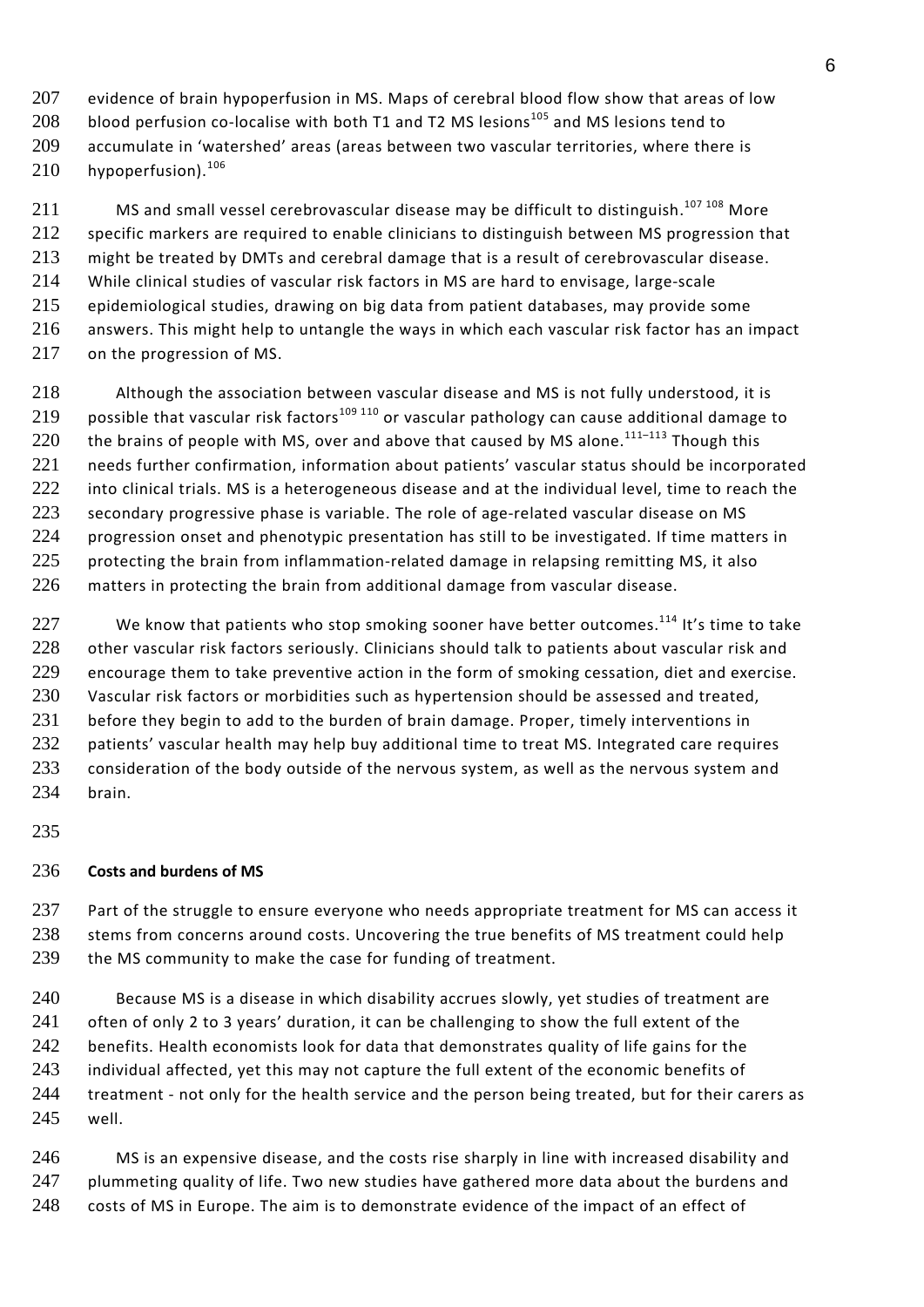207 evidence of brain hypoperfusion in MS. Maps of cerebral blood flow show that areas of low 208 blood perfusion co-localise with both T1 and T2 MS lesions<sup>105</sup> and MS lesions tend to 209 accumulate in 'watershed' areas (areas between two vascular territories, where there is  $210$  hypoperfusion).<sup>106</sup>

 MS and small vessel cerebrovascular disease may be difficult to distinguish.<sup>107 108</sup> More 212 specific markers are required to enable clinicians to distinguish between MS progression that might be treated by DMTs and cerebral damage that is a result of cerebrovascular disease. While clinical studies of vascular risk factors in MS are hard to envisage, large-scale epidemiological studies, drawing on big data from patient databases, may provide some answers. This might help to untangle the ways in which each vascular risk factor has an impact on the progression of MS.

218 Although the association between vascular disease and MS is not fully understood, it is 219 possible that vascular risk factors<sup>109 110</sup> or vascular pathology can cause additional damage to 220 the brains of people with MS, over and above that caused by MS alone.<sup>111-113</sup> Though this 221 needs further confirmation, information about patients' vascular status should be incorporated 222 into clinical trials. MS is a heterogeneous disease and at the individual level, time to reach the 223 secondary progressive phase is variable. The role of age-related vascular disease on MS 224 progression onset and phenotypic presentation has still to be investigated. If time matters in 225 protecting the brain from inflammation-related damage in relapsing remitting MS, it also 226 matters in protecting the brain from additional damage from vascular disease.

227 We know that patients who stop smoking sooner have better outcomes.<sup>114</sup> It's time to take 228 other vascular risk factors seriously. Clinicians should talk to patients about vascular risk and 229 encourage them to take preventive action in the form of smoking cessation, diet and exercise. 230 Vascular risk factors or morbidities such as hypertension should be assessed and treated, 231 before they begin to add to the burden of brain damage. Proper, timely interventions in 232 patients' vascular health may help buy additional time to treat MS. Integrated care requires 233 consideration of the body outside of the nervous system, as well as the nervous system and 234 brain.

235

#### 236 **Costs and burdens of MS**

237 Part of the struggle to ensure everyone who needs appropriate treatment for MS can access it 238 stems from concerns around costs. Uncovering the true benefits of MS treatment could help 239 the MS community to make the case for funding of treatment.

240 Because MS is a disease in which disability accrues slowly, yet studies of treatment are 241 often of only 2 to 3 years' duration, it can be challenging to show the full extent of the 242 benefits. Health economists look for data that demonstrates quality of life gains for the 243 individual affected, yet this may not capture the full extent of the economic benefits of 244 treatment - not only for the health service and the person being treated, but for their carers as 245 well.

246 MS is an expensive disease, and the costs rise sharply in line with increased disability and 247 plummeting quality of life. Two new studies have gathered more data about the burdens and 248 costs of MS in Europe. The aim is to demonstrate evidence of the impact of an effect of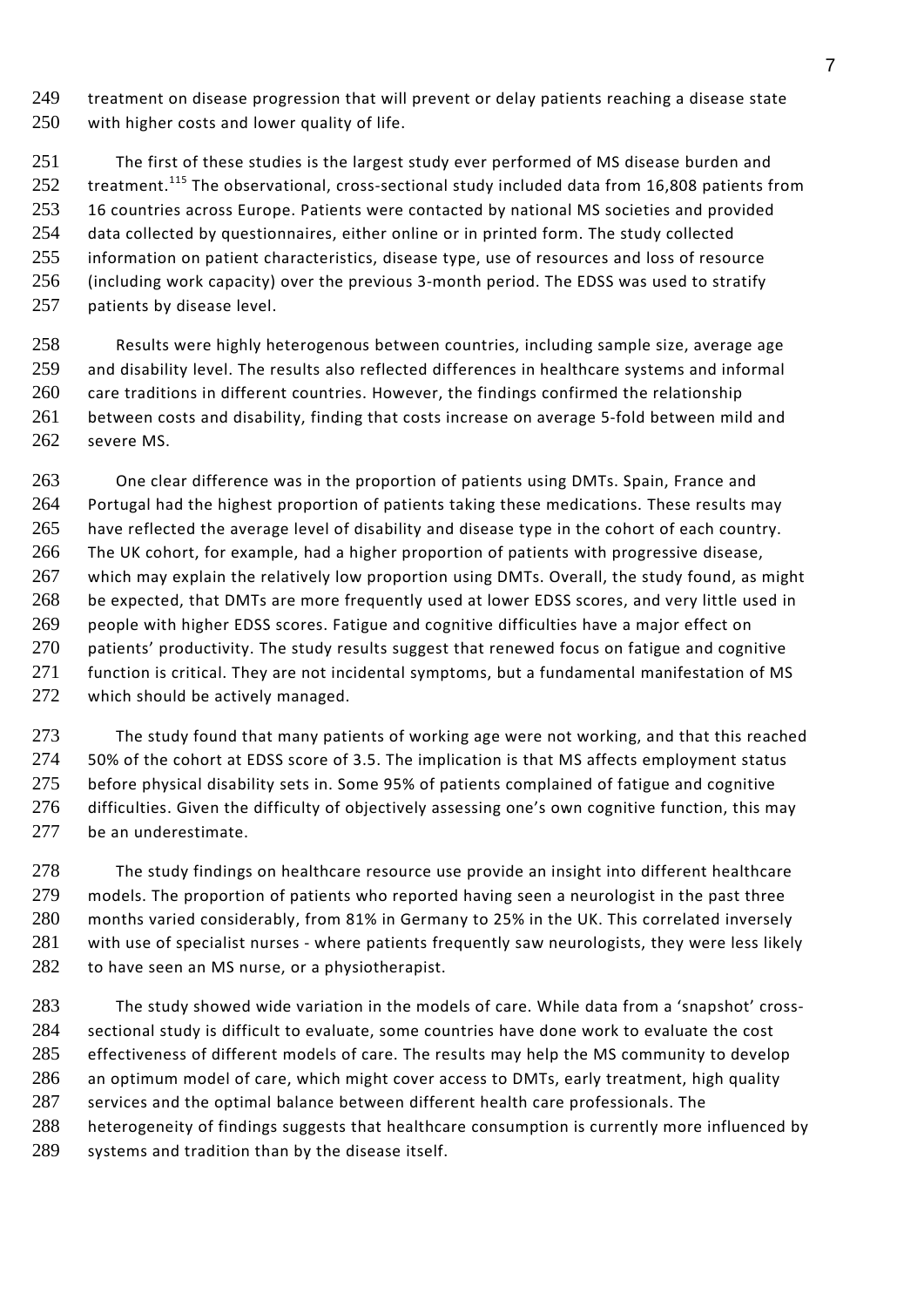treatment on disease progression that will prevent or delay patients reaching a disease state 250 with higher costs and lower quality of life.

 The first of these studies is the largest study ever performed of MS disease burden and treatment.<sup>115</sup> The observational, cross-sectional study included data from 16,808 patients from 253 16 countries across Europe. Patients were contacted by national MS societies and provided data collected by questionnaires, either online or in printed form. The study collected 255 information on patient characteristics, disease type, use of resources and loss of resource (including work capacity) over the previous 3-month period. The EDSS was used to stratify patients by disease level.

 Results were highly heterogenous between countries, including sample size, average age and disability level. The results also reflected differences in healthcare systems and informal 260 care traditions in different countries. However, the findings confirmed the relationship between costs and disability, finding that costs increase on average 5-fold between mild and severe MS.

 One clear difference was in the proportion of patients using DMTs. Spain, France and 264 Portugal had the highest proportion of patients taking these medications. These results may have reflected the average level of disability and disease type in the cohort of each country. The UK cohort, for example, had a higher proportion of patients with progressive disease, 267 which may explain the relatively low proportion using DMTs. Overall, the study found, as might be expected, that DMTs are more frequently used at lower EDSS scores, and very little used in 269 people with higher EDSS scores. Fatigue and cognitive difficulties have a major effect on 270 patients' productivity. The study results suggest that renewed focus on fatigue and cognitive 271 function is critical. They are not incidental symptoms, but a fundamental manifestation of MS 272 which should be actively managed.

 The study found that many patients of working age were not working, and that this reached 50% of the cohort at EDSS score of 3.5. The implication is that MS affects employment status 275 before physical disability sets in. Some 95% of patients complained of fatigue and cognitive difficulties. Given the difficulty of objectively assessing one's own cognitive function, this may 277 be an underestimate.

278 The study findings on healthcare resource use provide an insight into different healthcare models. The proportion of patients who reported having seen a neurologist in the past three months varied considerably, from 81% in Germany to 25% in the UK. This correlated inversely 281 with use of specialist nurses - where patients frequently saw neurologists, they were less likely 282 to have seen an MS nurse, or a physiotherapist.

 The study showed wide variation in the models of care. While data from a 'snapshot' cross- sectional study is difficult to evaluate, some countries have done work to evaluate the cost 285 effectiveness of different models of care. The results may help the MS community to develop an optimum model of care, which might cover access to DMTs, early treatment, high quality services and the optimal balance between different health care professionals. The heterogeneity of findings suggests that healthcare consumption is currently more influenced by systems and tradition than by the disease itself.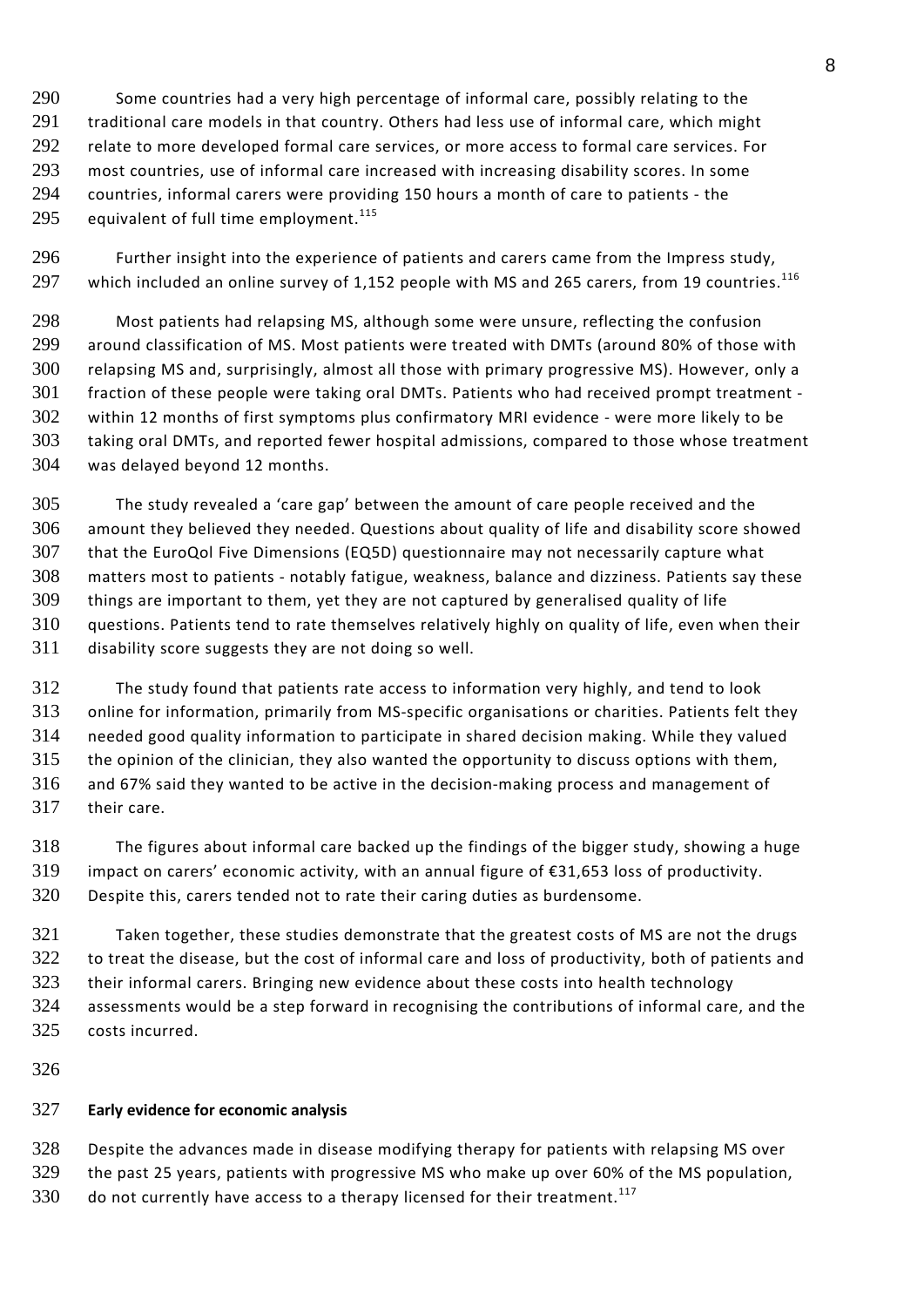Some countries had a very high percentage of informal care, possibly relating to the 291 traditional care models in that country. Others had less use of informal care, which might 292 relate to more developed formal care services, or more access to formal care services. For most countries, use of informal care increased with increasing disability scores. In some countries, informal carers were providing 150 hours a month of care to patients - the equivalent of full time employment.<sup>115</sup>

 Further insight into the experience of patients and carers came from the Impress study, 297 which included an online survey of 1,152 people with MS and 265 carers, from 19 countries. $^{116}$ 

 Most patients had relapsing MS, although some were unsure, reflecting the confusion around classification of MS. Most patients were treated with DMTs (around 80% of those with relapsing MS and, surprisingly, almost all those with primary progressive MS). However, only a fraction of these people were taking oral DMTs. Patients who had received prompt treatment - within 12 months of first symptoms plus confirmatory MRI evidence - were more likely to be taking oral DMTs, and reported fewer hospital admissions, compared to those whose treatment was delayed beyond 12 months.

 The study revealed a 'care gap' between the amount of care people received and the amount they believed they needed. Questions about quality of life and disability score showed that the EuroQol Five Dimensions (EQ5D) questionnaire may not necessarily capture what matters most to patients - notably fatigue, weakness, balance and dizziness. Patients say these things are important to them, yet they are not captured by generalised quality of life questions. Patients tend to rate themselves relatively highly on quality of life, even when their disability score suggests they are not doing so well.

 The study found that patients rate access to information very highly, and tend to look online for information, primarily from MS-specific organisations or charities. Patients felt they needed good quality information to participate in shared decision making. While they valued the opinion of the clinician, they also wanted the opportunity to discuss options with them, and 67% said they wanted to be active in the decision-making process and management of their care.

 The figures about informal care backed up the findings of the bigger study, showing a huge impact on carers' economic activity, with an annual figure of €31,653 loss of productivity. Despite this, carers tended not to rate their caring duties as burdensome.

 Taken together, these studies demonstrate that the greatest costs of MS are not the drugs 322 to treat the disease, but the cost of informal care and loss of productivity, both of patients and their informal carers. Bringing new evidence about these costs into health technology assessments would be a step forward in recognising the contributions of informal care, and the costs incurred.

# **Early evidence for economic analysis**

328 Despite the advances made in disease modifying therapy for patients with relapsing MS over

the past 25 years, patients with progressive MS who make up over 60% of the MS population,

do not currently have access to a therapy licensed for their treatment.<sup>117</sup>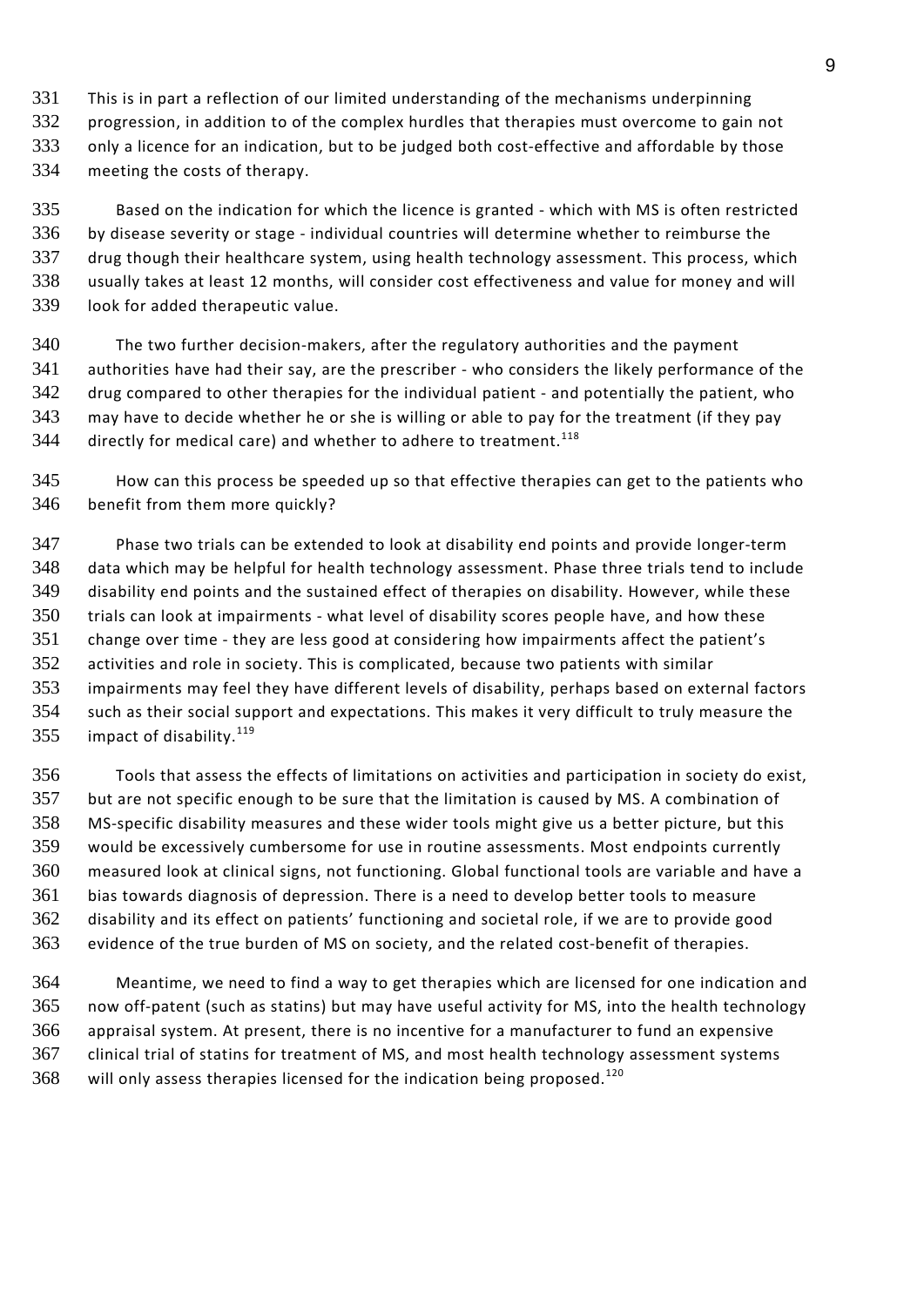- This is in part a reflection of our limited understanding of the mechanisms underpinning
- 332 progression, in addition to of the complex hurdles that therapies must overcome to gain not
- 333 only a licence for an indication, but to be judged both cost-effective and affordable by those
- meeting the costs of therapy.

 Based on the indication for which the licence is granted - which with MS is often restricted by disease severity or stage - individual countries will determine whether to reimburse the drug though their healthcare system, using health technology assessment. This process, which usually takes at least 12 months, will consider cost effectiveness and value for money and will look for added therapeutic value.

 The two further decision-makers, after the regulatory authorities and the payment authorities have had their say, are the prescriber - who considers the likely performance of the 342 drug compared to other therapies for the individual patient - and potentially the patient, who may have to decide whether he or she is willing or able to pay for the treatment (if they pay directly for medical care) and whether to adhere to treatment.<sup>118</sup>

 How can this process be speeded up so that effective therapies can get to the patients who benefit from them more quickly?

 Phase two trials can be extended to look at disability end points and provide longer-term data which may be helpful for health technology assessment. Phase three trials tend to include disability end points and the sustained effect of therapies on disability. However, while these trials can look at impairments - what level of disability scores people have, and how these change over time - they are less good at considering how impairments affect the patient's activities and role in society. This is complicated, because two patients with similar impairments may feel they have different levels of disability, perhaps based on external factors such as their social support and expectations. This makes it very difficult to truly measure the 355 impact of disability.<sup>119</sup>

 Tools that assess the effects of limitations on activities and participation in society do exist, but are not specific enough to be sure that the limitation is caused by MS. A combination of MS-specific disability measures and these wider tools might give us a better picture, but this would be excessively cumbersome for use in routine assessments. Most endpoints currently measured look at clinical signs, not functioning. Global functional tools are variable and have a bias towards diagnosis of depression. There is a need to develop better tools to measure disability and its effect on patients' functioning and societal role, if we are to provide good evidence of the true burden of MS on society, and the related cost-benefit of therapies.

 Meantime, we need to find a way to get therapies which are licensed for one indication and now off-patent (such as statins) but may have useful activity for MS, into the health technology appraisal system. At present, there is no incentive for a manufacturer to fund an expensive clinical trial of statins for treatment of MS, and most health technology assessment systems will only assess therapies licensed for the indication being proposed.<sup>120</sup>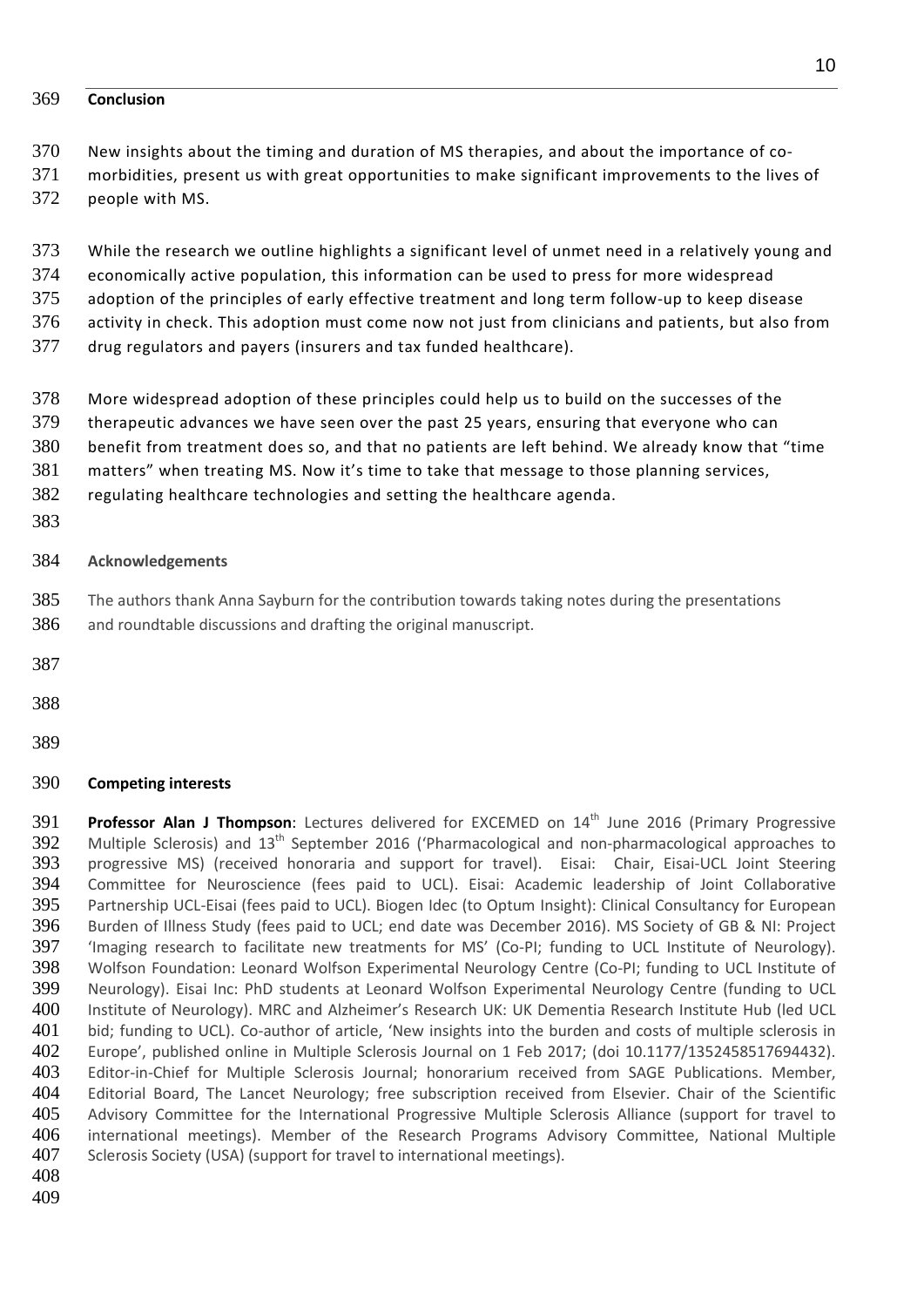#### **Conclusion**

- New insights about the timing and duration of MS therapies, and about the importance of co-
- morbidities, present us with great opportunities to make significant improvements to the lives of

people with MS.

- While the research we outline highlights a significant level of unmet need in a relatively young and
- economically active population, this information can be used to press for more widespread
- adoption of the principles of early effective treatment and long term follow-up to keep disease
- activity in check. This adoption must come now not just from clinicians and patients, but also from
- drug regulators and payers (insurers and tax funded healthcare).
- More widespread adoption of these principles could help us to build on the successes of the
- therapeutic advances we have seen over the past 25 years, ensuring that everyone who can
- benefit from treatment does so, and that no patients are left behind. We already know that "time
- matters" when treating MS. Now it's time to take that message to those planning services,
- regulating healthcare technologies and setting the healthcare agenda.
- 

#### **Acknowledgements**

- The authors thank Anna Sayburn for the contribution towards taking notes during the presentations
- and roundtable discussions and drafting the original manuscript.
- 
- 
- 

#### **Competing interests**

**Professor Alan J Thompson:** Lectures delivered for EXCEMED on 14<sup>th</sup> June 2016 (Primary Progressive Multiple Sclerosis) and  $13<sup>th</sup>$  September 2016 ('Pharmacological and non-pharmacological approaches to progressive MS) (received honoraria and support for travel). Eisai: Chair, Eisai-UCL Joint Steering Committee for Neuroscience (fees paid to UCL). Eisai: Academic leadership of Joint Collaborative Partnership UCL-Eisai (fees paid to UCL). Biogen Idec (to Optum Insight): Clinical Consultancy for European Burden of Illness Study (fees paid to UCL; end date was December 2016). MS Society of GB & NI: Project 'Imaging research to facilitate new treatments for MS' (Co-PI; funding to UCL Institute of Neurology). Wolfson Foundation: Leonard Wolfson Experimental Neurology Centre (Co-PI; funding to UCL Institute of Neurology). Eisai Inc: PhD students at Leonard Wolfson Experimental Neurology Centre (funding to UCL 400 Institute of Neurology). MRC and Alzheimer's Research UK: UK Dementia Research Institute Hub (led UCL 401 bid; funding to UCL). Co-author of article, 'New insights into the burden and costs of multiple sclerosis in Europe', published online in Multiple Sclerosis Journal on 1 Feb 2017; (doi 10.1177/1352458517694432). Editor-in-Chief for Multiple Sclerosis Journal; honorarium received from SAGE Publications. Member, Editorial Board, The Lancet Neurology; free subscription received from Elsevier. Chair of the Scientific Advisory Committee for the International Progressive Multiple Sclerosis Alliance (support for travel to international meetings). Member of the Research Programs Advisory Committee, National Multiple 407 Sclerosis Society (USA) (support for travel to international meetings).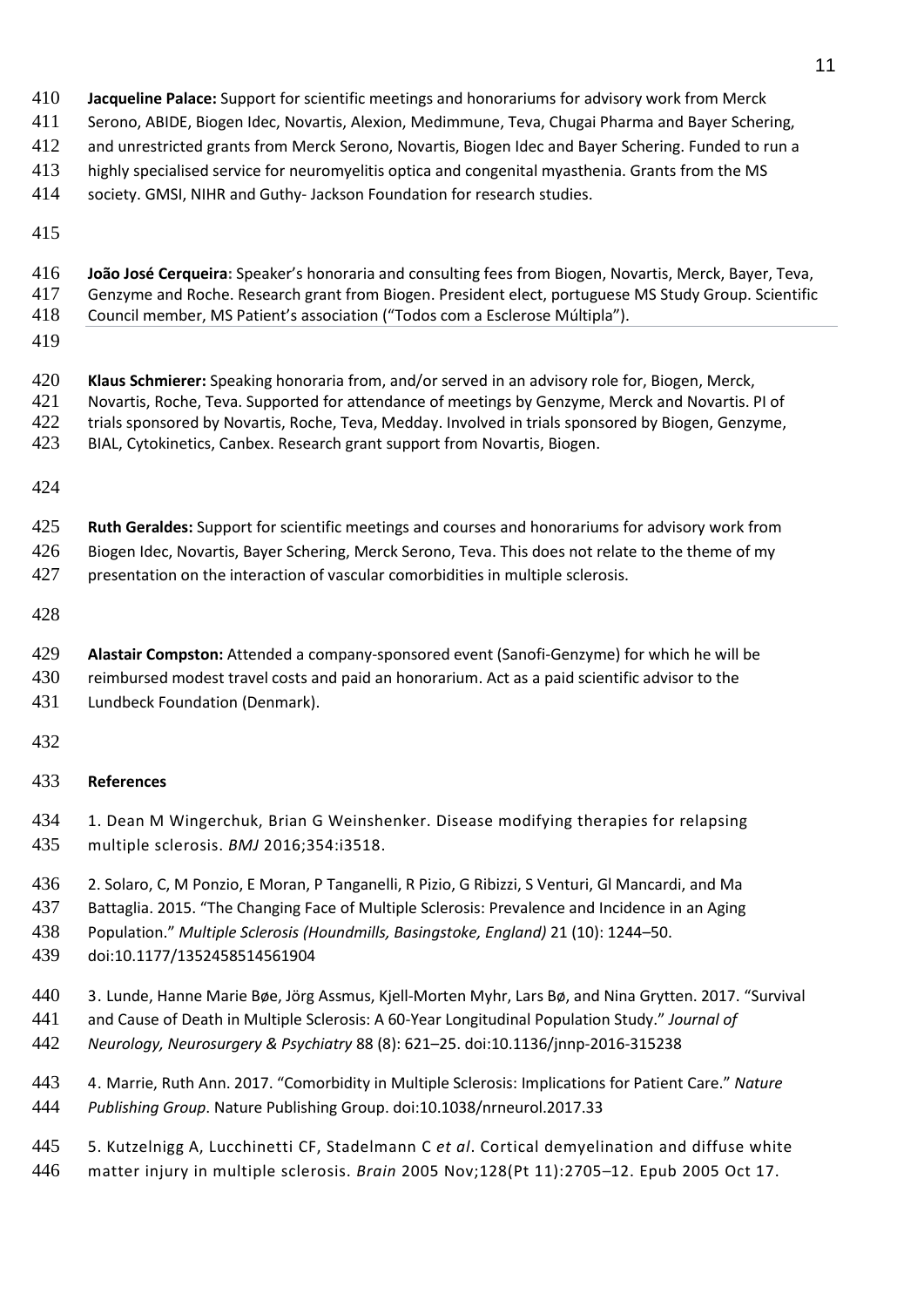- **Jacqueline Palace:** Support for scientific meetings and honorariums for advisory work from Merck
- Serono, ABIDE, Biogen Idec, Novartis, Alexion, Medimmune, Teva, Chugai Pharma and Bayer Schering,
- and unrestricted grants from Merck Serono, Novartis, Biogen Idec and Bayer Schering. Funded to run a
- highly specialised service for neuromyelitis optica and congenital myasthenia. Grants from the MS
- society. GMSI, NIHR and Guthy- Jackson Foundation for research studies.
- 
- **João José Cerqueira:** Speaker's honoraria and consulting fees from Biogen, Novartis, Merck, Bayer, Teva,
- Genzyme and Roche. Research grant from Biogen. President elect, portuguese MS Study Group. Scientific
- Council member, MS Patient's association ("Todos com a Esclerose Múltipla").
- 
- **Klaus Schmierer:** Speaking honoraria from, and/or served in an advisory role for, Biogen, Merck, Novartis, Roche, Teva. Supported for attendance of meetings by Genzyme, Merck and Novartis. PI of trials sponsored by Novartis, Roche, Teva, Medday. Involved in trials sponsored by Biogen, Genzyme,
- BIAL, Cytokinetics, Canbex. Research grant support from Novartis, Biogen.
- 
- **Ruth Geraldes:** Support for scientific meetings and courses and honorariums for advisory work from
- Biogen Idec, Novartis, Bayer Schering, Merck Serono, Teva. This does not relate to the theme of my
- presentation on the interaction of vascular comorbidities in multiple sclerosis.
- 
- **Alastair Compston:** Attended a company-sponsored event (Sanofi-Genzyme) for which he will be
- 430 reimbursed modest travel costs and paid an honorarium. Act as a paid scientific advisor to the Lundbeck Foundation (Denmark).
- 

# **References**

- 1. Dean M Wingerchuk, Brian G Weinshenker. Disease modifying therapies for relapsing multiple sclerosis. *BMJ* 2016;354:i3518.
- 2. Solaro, C, M Ponzio, E Moran, P Tanganelli, R Pizio, G Ribizzi, S Venturi, Gl Mancardi, and Ma
- Battaglia. 2015. "The Changing Face of Multiple Sclerosis: Prevalence and Incidence in an Aging
- Population." *Multiple Sclerosis (Houndmills, Basingstoke, England)* 21 (10): 1244–50.
- doi:10.1177/1352458514561904
- 3. Lunde, Hanne Marie Bøe, Jörg Assmus, Kjell-Morten Myhr, Lars Bø, and Nina Grytten. 2017. "Survival
- and Cause of Death in Multiple Sclerosis: A 60-Year Longitudinal Population Study." *Journal of*
- *Neurology, Neurosurgery & Psychiatry* 88 (8): 621–25. doi:10.1136/jnnp-2016-315238
- 4. Marrie, Ruth Ann. 2017. "Comorbidity in Multiple Sclerosis: Implications for Patient Care." *Nature Publishing Group*. Nature Publishing Group. doi:10.1038/nrneurol.2017.33
- 5. Kutzelnigg A, [Lucchinetti](https://www.ncbi.nlm.nih.gov/pubmed/?term=Lucchinetti%20CF%5BAuthor%5D&cauthor=true&cauthor_uid=16230320) CF, [Stadelmann](https://www.ncbi.nlm.nih.gov/pubmed/?term=Stadelmann%20C%5BAuthor%5D&cauthor=true&cauthor_uid=16230320) C *et al*. Cortical demyelination and diffuse white matter injury in multiple sclerosis. *Brain* 2005 Nov;128(Pt 11):2705–12. Epub 2005 Oct 17.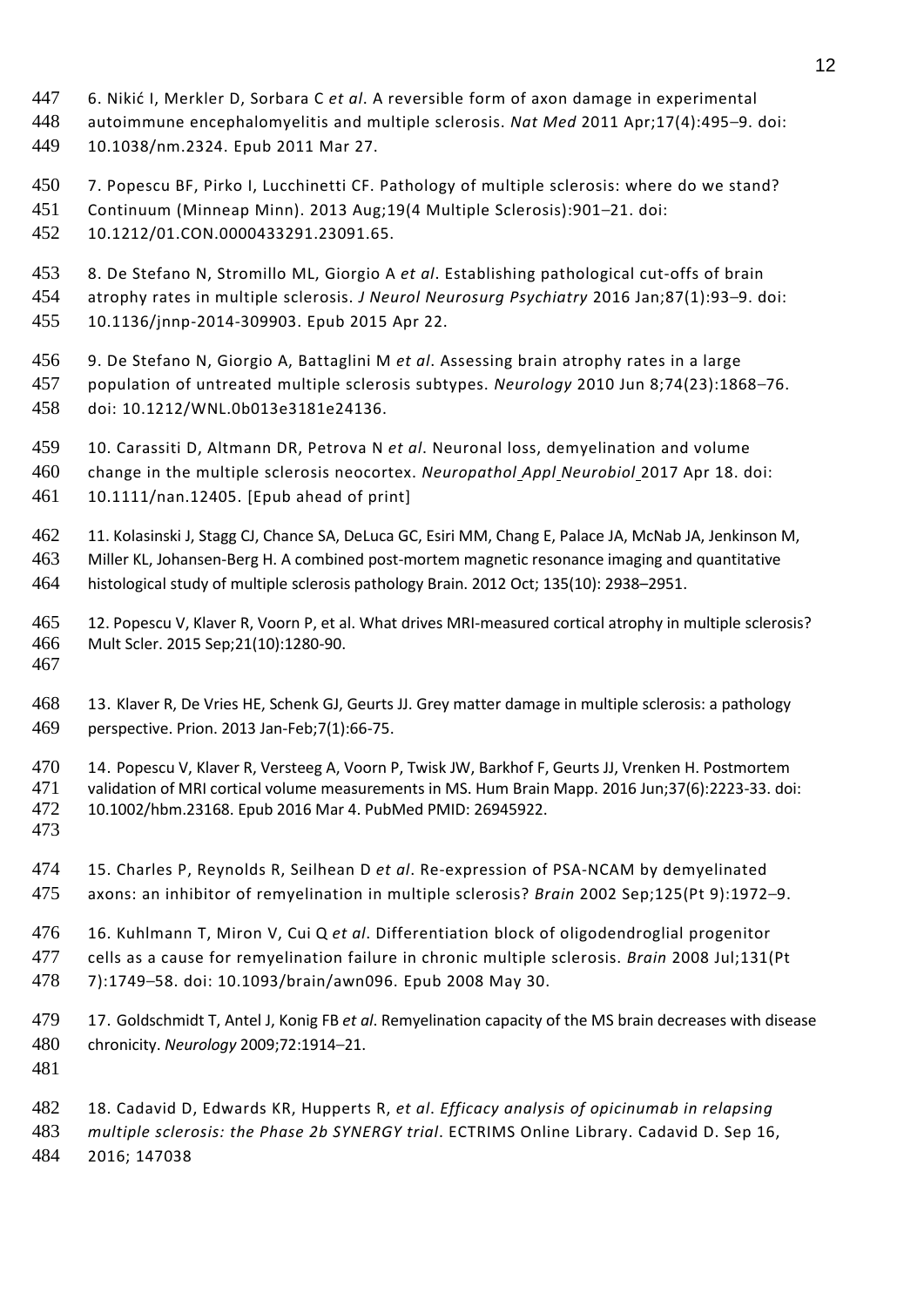- 6. Nikić I, Merkler D, Sorbara C *et al*. A reversible form of axon damage in experimental
- autoimmune encephalomyelitis and multiple sclerosis. *Nat Med* 2011 Apr;17(4):495–9. doi:
- 10.1038/nm.2324. Epub 2011 Mar 27.
- 7. Popescu BF, Pirko I, Lucchinetti CF. Pathology of multiple sclerosis: where do we stand?
- Continuum (Minneap Minn). 2013 Aug;19(4 Multiple Sclerosis):901–21. doi:
- 10.1212/01.CON.0000433291.23091.65.
- 8. De Stefano N, Stromillo ML, Giorgio A *et al*. Establishing pathological cut-offs of brain
- atrophy rates in multiple sclerosis. *J Neurol Neurosurg Psychiatry* 2016 Jan;87(1):93–9. doi: 10.1136/jnnp-2014-309903. Epub 2015 Apr 22.
- 9. De Stefano N, Giorgio A, Battaglini M *et al*. Assessing brain atrophy rates in a large population of untreated multiple sclerosis subtypes. *Neurology* 2010 Jun 8;74(23):1868–76. doi: 10.1212/WNL.0b013e3181e24136.
- 10. Carassiti D, Altmann DR, Petrova N *et al*. Neuronal loss, demyelination and volume
- change in the multiple sclerosis neocortex. *Neuropathol Appl Neurobiol* 2017 Apr 18. doi: 10.1111/nan.12405. [Epub ahead of print]
- 11. Kolasinski J, Stagg CJ, Chance SA, DeLuca GC, Esiri MM, Chang E, Palace JA, McNab JA, Jenkinson M, Miller KL, Johansen-Berg H. A combined post-mortem magnetic resonance imaging and quantitative
- histological study of multiple sclerosis pathology Brain. 2012 Oct; 135(10): 2938–2951.
- 12. Popescu V, Klaver R, Voorn P, et al. What drives MRI-measured cortical atrophy in multiple sclerosis? Mult Scler. 2015 Sep;21(10):1280-90.
- 
- 13. Klaver R, De Vries HE, Schenk GJ, Geurts JJ. Grey matter damage in multiple sclerosis: a pathology perspective. Prion. 2013 Jan-Feb;7(1):66-75.
- 14. Popescu V, Klaver R, Versteeg A, Voorn P, Twisk JW, Barkhof F, Geurts JJ, Vrenken H. Postmortem validation of MRI cortical volume measurements in MS. Hum Brain Mapp. 2016 Jun;37(6):2223-33. doi: 10.1002/hbm.23168. Epub 2016 Mar 4. PubMed PMID: 26945922.
- 
- 15. Charles P, Reynolds R, Seilhean D *et al*. Re-expression of PSA-NCAM by demyelinated axons: an inhibitor of remyelination in multiple sclerosis? *Brain* 2002 Sep;125(Pt 9):1972–9.
- 16. Kuhlmann T, Miron V, Cui Q *et al*. Differentiation block of oligodendroglial progenitor cells as a cause for remyelination failure in chronic multiple sclerosis. *Brain* 2008 Jul;131(Pt
- 7):1749–58. doi: 10.1093/brain/awn096. Epub 2008 May 30.
- 17. Goldschmidt T, Antel J, Konig FB *et al*. Remyelination capacity of the MS brain decreases with disease chronicity. *Neurology* 2009;72:1914–21.
- 
- 18. Cadavid D, Edwards KR, Hupperts R, *et al*. *Efficacy analysis of opicinumab in relapsing*
- *multiple sclerosis: the Phase 2b SYNERGY trial*. ECTRIMS Online Library. Cadavid D. Sep 16,
- 2016; 147038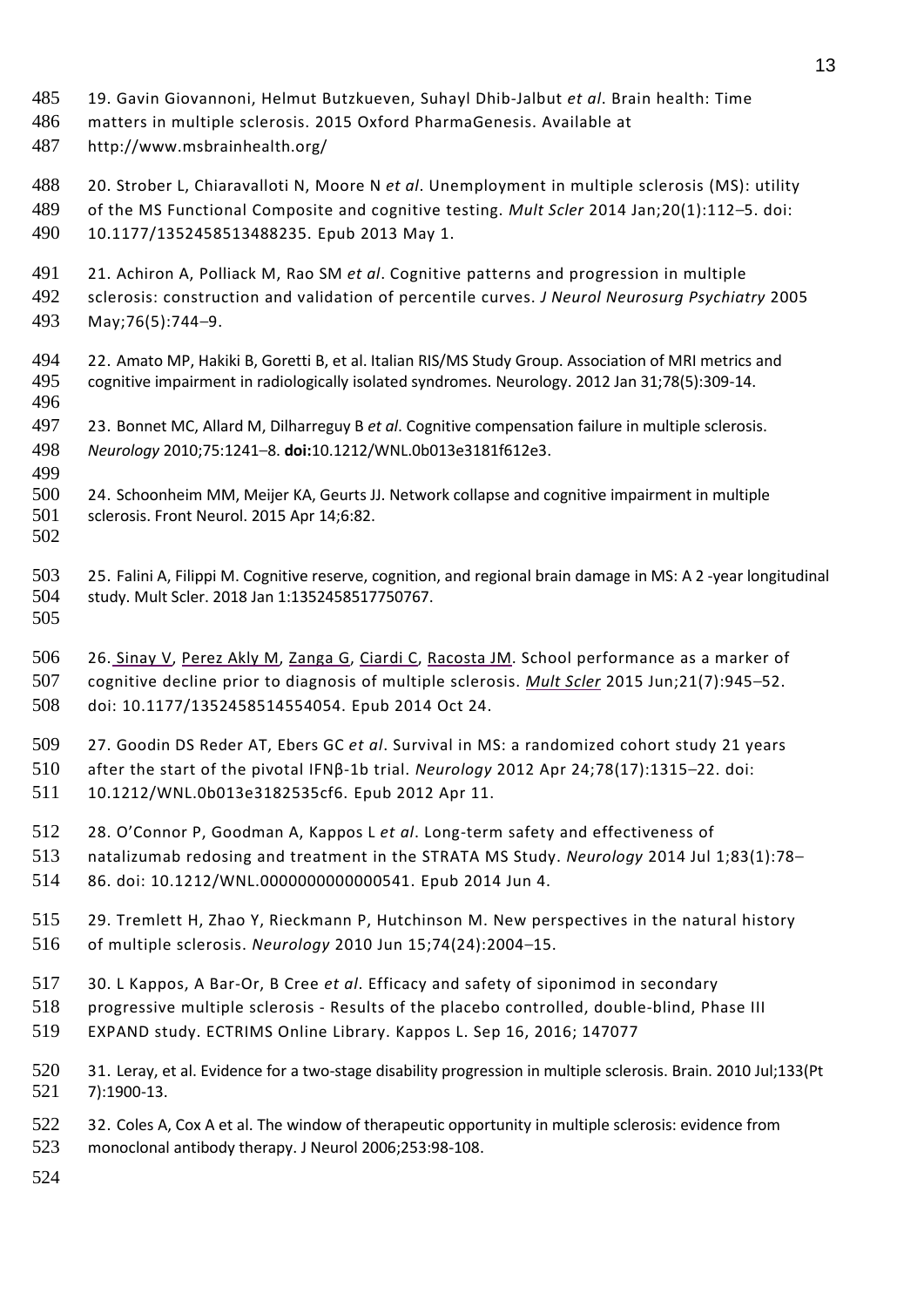- 19. Gavin Giovannoni, Helmut Butzkueven, Suhayl Dhib-Jalbut *et al*. Brain health: Time
- matters in multiple sclerosis. 2015 Oxford PharmaGenesis. Available at
- <http://www.msbrainhealth.org/>
- 20. Strober L, Chiaravalloti N, Moore N *et al*. Unemployment in multiple sclerosis (MS): utility
- of the MS Functional Composite and cognitive testing. *Mult Scler* 2014 Jan;20(1):112–5. doi: 10.1177/1352458513488235. Epub 2013 May 1.
- 
- 21. Achiron A, Polliack M, Rao SM *et al*. Cognitive patterns and progression in multiple sclerosis: construction and validation of percentile curves. *J Neurol Neurosurg Psychiatry* 2005
- May;76(5):744–9.
- 22. Amato MP, Hakiki B, Goretti B, et al. Italian RIS/MS Study Group. Association of MRI metrics and cognitive impairment in radiologically isolated syndromes. Neurology. 2012 Jan 31;78(5):309-14.
- 23. Bonnet MC, Allard M, Dilharreguy B *et al*. Cognitive compensation failure in multiple sclerosis. *Neurology* 2010;75:1241–8. **doi:**10.1212/WNL.0b013e3181f612e3.
- 24. Schoonheim MM, Meijer KA, Geurts JJ. Network collapse and cognitive impairment in multiple sclerosis. Front Neurol. 2015 Apr 14;6:82.
- 

 25. Falini A, Filippi M. Cognitive reserve, cognition, and regional brain damage in MS: A 2 -year longitudinal study. Mult Scler. 2018 Jan 1:1352458517750767.

506 26. Sinay V, [Perez](https://www.ncbi.nlm.nih.gov/pubmed/?term=Perez%20Akly%20M%5BAuthor%5D&cauthor=true&cauthor_uid=25344372) Akly M, Zanga G, [Ciardi](https://www.ncbi.nlm.nih.gov/pubmed/?term=Ciardi%20C%5BAuthor%5D&cauthor=true&cauthor_uid=25344372) C, [Racosta](https://w/) JM. School performance as a marker of cognitive decline prior to diagnosis of multiple sclerosis. *Mult [Scler](https://www.ncbi.nlm.nih.gov/pubmed/?term=Mu)* 2015 Jun;21(7):945–52. doi: 10.1177/1352458514554054. Epub 2014 Oct 24.

27. Goodin DS Reder AT, Ebers GC *et al*. Survival in MS: a randomized cohort study 21 years

 after the start of the pivotal IFNβ-1b trial. *Neurology* 2012 Apr 24;78(17):1315–22. doi: 10.1212/WNL.0b013e3182535cf6. Epub 2012 Apr 11.

- 
- 28. O'Connor P, Goodman A, Kappos L *et al*. Long-term safety and effectiveness of natalizumab redosing and treatment in the STRATA MS Study. *Neurology* 2014 Jul 1;83(1):78–
- 86. doi: 10.1212/WNL.0000000000000541. Epub 2014 Jun 4.
- 29. Tremlett H, Zhao Y, Rieckmann P, Hutchinson M. New perspectives in the natural history of multiple sclerosis. *Neurology* 2010 Jun 15;74(24):2004–15.
- 30. L Kappos, A Bar-Or, B Cree *et al*. Efficacy and safety of siponimod in secondary
- progressive multiple sclerosis Results of the placebo controlled, double-blind, Phase III
- EXPAND study. ECTRIMS Online Library. Kappos L. Sep 16, 2016; 147077
- 31. Leray, et al. Evidence for a two-stage disability progression in multiple sclerosis. Brain. 2010 Jul;133(Pt 7):1900-13.
- 522 32. Coles A, Cox A et al. The window of therapeutic opportunity in multiple sclerosis: evidence from monoclonal antibody therapy. J Neurol 2006;253:98-108.
-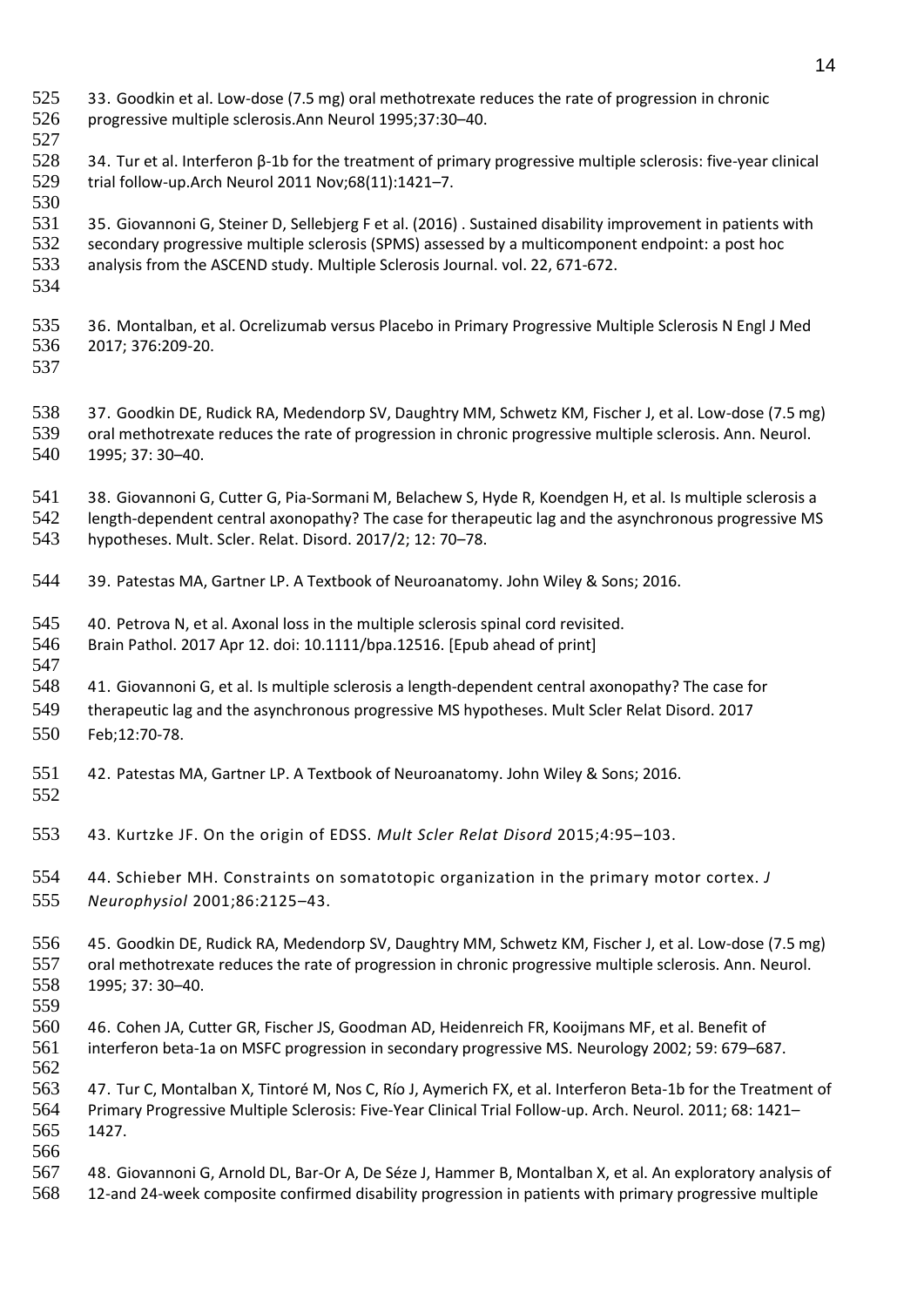33. Goodkin et al. Low-dose (7.5 mg) oral methotrexate reduces the rate of progression in chronic progressive multiple sclerosis.Ann Neurol 1995;37:30–40. 34. Tur et al. Interferon β-1b for the treatment of primary progressive multiple sclerosis: five-year clinical trial follow-up.Arch Neurol 2011 Nov;68(11):1421–7. 35. Giovannoni G, Steiner D, Sellebjerg F et al. (2016) . Sustained disability improvement in patients with secondary progressive multiple sclerosis (SPMS) assessed by a multicomponent endpoint: a post hoc analysis from the ASCEND study. Multiple Sclerosis Journal. vol. 22, 671-672. 36. Montalban, et al. Ocrelizumab versus Placebo in Primary Progressive Multiple Sclerosis N Engl J Med 2017; 376:209-20. 37. Goodkin DE, Rudick RA, Medendorp SV, Daughtry MM, Schwetz KM, Fischer J, et al. Low-dose (7.5 mg) oral methotrexate reduces the rate of progression in chronic progressive multiple sclerosis. Ann. Neurol. 1995; 37: 30–40. 38. Giovannoni G, Cutter G, Pia-Sormani M, Belachew S, Hyde R, Koendgen H, et al. Is multiple sclerosis a length-dependent central axonopathy? The case for therapeutic lag and the asynchronous progressive MS hypotheses. Mult. Scler. Relat. Disord. 2017/2; 12: 70–78. 39. Patestas MA, Gartner LP. A Textbook of Neuroanatomy. John Wiley & Sons; 2016. 40. Petrova N, et al. Axonal loss in the multiple sclerosis spinal cord revisited. Brain Pathol. 2017 Apr 12. doi: 10.1111/bpa.12516. [Epub ahead of print] 41. Giovannoni G, et al. Is multiple sclerosis a length-dependent central axonopathy? The case for therapeutic lag and the asynchronous progressive MS hypotheses. Mult Scler Relat Disord. 2017 Feb;12:70-78. 42. Patestas MA, Gartner LP. A Textbook of Neuroanatomy. John Wiley & Sons; 2016. 43. Kurtzke JF. On the origin of EDSS. *Mult Scler Relat Disord* 2015;4:95–103. 44. Schieber MH. Constraints on somatotopic organization in the primary motor cortex. *J Neurophysiol* 2001;86:2125–43. 45. Goodkin DE, Rudick RA, Medendorp SV, Daughtry MM, Schwetz KM, Fischer J, et al. Low-dose (7.5 mg) oral methotrexate reduces the rate of progression in chronic progressive multiple sclerosis. Ann. Neurol. 1995; 37: 30–40. 46. Cohen JA, Cutter GR, Fischer JS, Goodman AD, Heidenreich FR, Kooijmans MF, et al. Benefit of interferon beta-1a on MSFC progression in secondary progressive MS. Neurology 2002; 59: 679–687. 47. Tur C, Montalban X, Tintoré M, Nos C, Río J, Aymerich FX, et al. Interferon Beta-1b for the Treatment of Primary Progressive Multiple Sclerosis: Five-Year Clinical Trial Follow-up. Arch. Neurol. 2011; 68: 1421– 1427. 48. Giovannoni G, Arnold DL, Bar-Or A, De Séze J, Hammer B, Montalban X, et al. An exploratory analysis of 12-and 24-week composite confirmed disability progression in patients with primary progressive multiple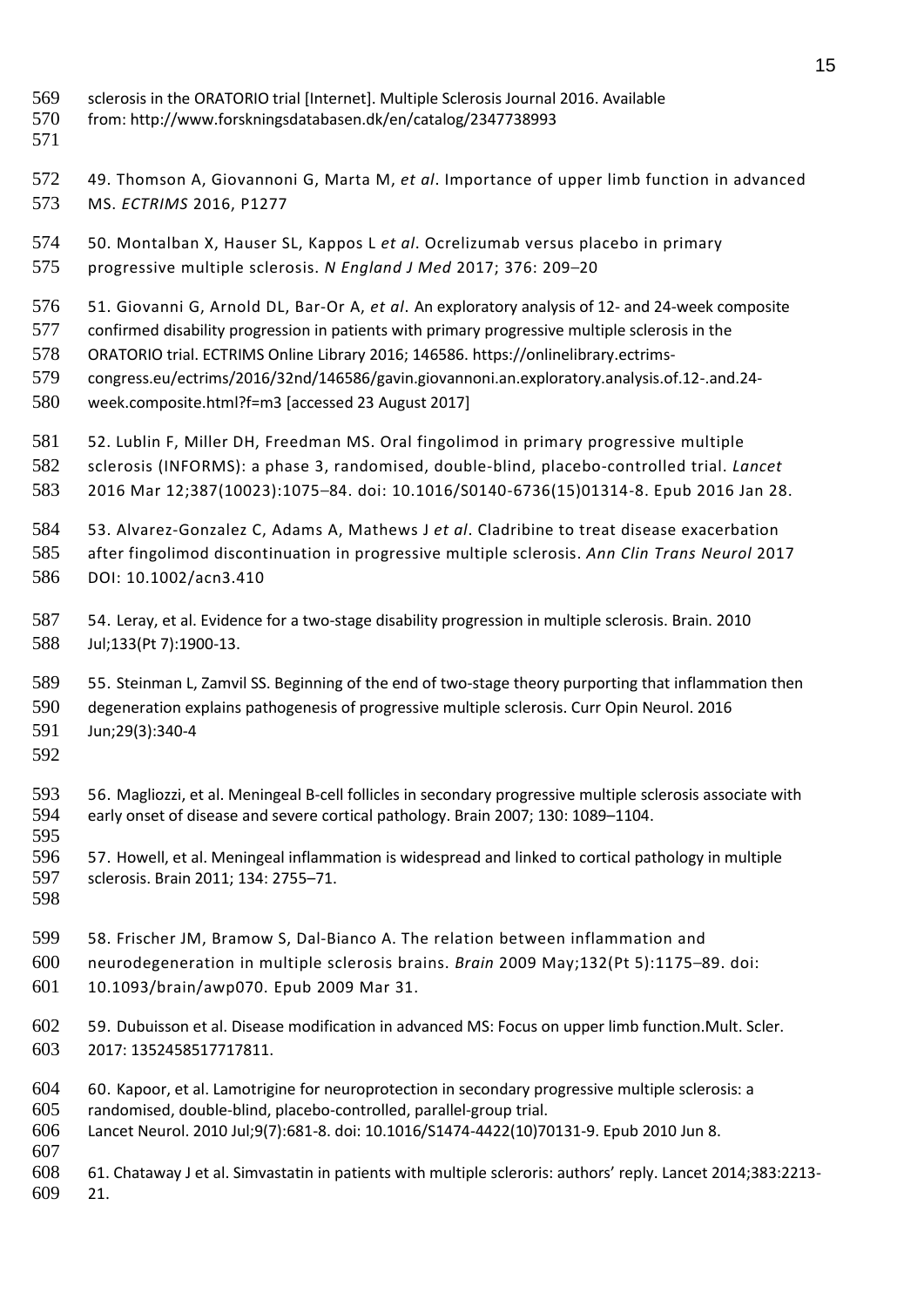- sclerosis in the ORATORIO trial [Internet]. Multiple Sclerosis Journal 2016. Available
- from: <http://www.forskningsdatabasen.dk/en/catalog/2347738993>
- 
- 49. Thomson A, Giovannoni G, Marta M, *et al*. Importance of upper limb function in advanced MS. *ECTRIMS* 2016, P1277
- 50. Montalban X, Hauser SL, Kappos L *et al*. Ocrelizumab versus placebo in primary progressive multiple sclerosis. *N England J Med* 2017; 376: 209–20
- 51. Giovanni G, Arnold DL, Bar-Or A, *et al*. An exploratory analysis of 12- and 24-week composite
- confirmed disability progression in patients with primary progressive multiple sclerosis in the
- ORATORIO trial. ECTRIMS Online Library 2016; 146586. [https://onlinelibrary.ectrims-](https://onlinelibrary.ectrims-congress.eu/ectrims/2016/32nd/146586/gavin.giovannoni.an.exploratory.analysis.of.12-.and.24-week.composite.html?f=m3)
- [congress.eu/ectrims/2016/32nd/146586/gavin.giovannoni.an.exploratory.analysis.of.12-.and.24-](https://onlinelibrary.ectrims-congress.eu/ectrims/2016/32nd/146586/gavin.giovannoni.an.exploratory.analysis.of.12-.and.24-week.composite.html?f=m3)
- [week.composite.html?f=m3](https://onlinelibrary.ectrims-congress.eu/ectrims/2016/32nd/146586/gavin.giovannoni.an.exploratory.analysis.of.12-.and.24-week.composite.html?f=m3) [accessed 23 August 2017]
- 52. Lublin F, Miller DH, Freedman MS. Oral fingolimod in primary progressive multiple
- sclerosis (INFORMS): a phase 3, randomised, double-blind, placebo-controlled trial. *Lancet*
- 2016 Mar 12;387(10023):1075–84. doi: 10.1016/S0140-6736(15)01314-8. Epub 2016 Jan 28.
- 53. Alvarez-Gonzalez C, Adams A, Mathews J *et al*. Cladribine to treat disease exacerbation after fingolimod discontinuation in progressive multiple sclerosis. *Ann Clin Trans Neurol* 2017 DOI: 10.1002/acn3.410
- 54. Leray, et al. Evidence for a two-stage disability progression in multiple sclerosis. Brain. 2010 Jul;133(Pt 7):1900-13.
- 55. Steinman L, Zamvil SS. Beginning of the end of two-stage theory purporting that inflammation then degeneration explains pathogenesis of progressive multiple sclerosis. Curr Opin Neurol. 2016 Jun;29(3):340-4
- 
- 56. Magliozzi, et al. Meningeal B-cell follicles in secondary progressive multiple sclerosis associate with early onset of disease and severe cortical pathology. Brain 2007; 130: 1089–1104.
- 57. Howell, et al. Meningeal inflammation is widespread and linked to cortical pathology in multiple sclerosis. Brain 2011; 134: 2755–71.
- 

- 58. Frischer JM, Bramow S, Dal-Bianco A. The relation between inflammation and neurodegeneration in multiple sclerosis brains. *Brain* 2009 May;132(Pt 5):1175–89. doi:
- 10.1093/brain/awp070. Epub 2009 Mar 31.
- 59. Dubuisson et al. Disease modification in advanced MS: Focus on upper limb function.Mult. Scler. 2017: 1352458517717811.
- 60. Kapoor, et al. Lamotrigine for neuroprotection in secondary progressive multiple sclerosis: a randomised, double-blind, placebo-controlled, parallel-group trial. Lancet Neurol. 2010 Jul;9(7):681-8. doi: 10.1016/S1474-4422(10)70131-9. Epub 2010 Jun 8.
- 61. Chataway J et al. Simvastatin in patients with multiple scleroris: authors' reply. Lancet 2014;383:2213- 21.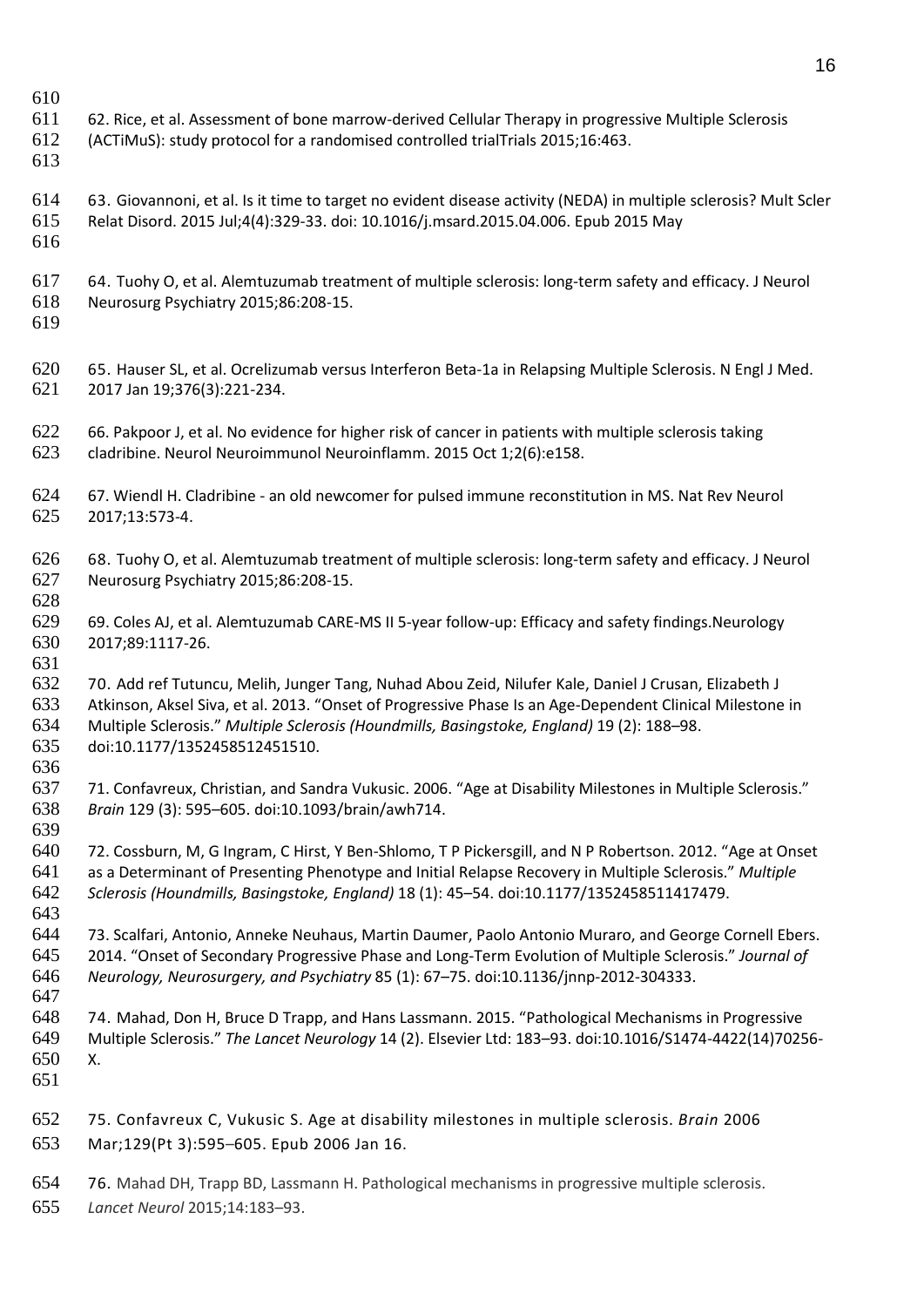- 62. Rice, et al. Assessment of bone marrow-derived Cellular Therapy in progressive Multiple Sclerosis
- (ACTiMuS): study protocol for a randomised controlled trialTrials 2015;16:463.
- 
- 63. Giovannoni, et al. Is it time to target no evident disease activity (NEDA) in multiple sclerosis? Mult Scler
- Relat Disord. 2015 Jul;4(4):329-33. doi: 10.1016/j.msard.2015.04.006. Epub 2015 May
- 
- 64. Tuohy O, et al. Alemtuzumab treatment of multiple sclerosis: long-term safety and efficacy. J Neurol Neurosurg Psychiatry 2015;86:208-15.
- 

- 65. Hauser SL, et al. Ocrelizumab versus Interferon Beta-1a in Relapsing Multiple Sclerosis. N Engl J Med. 2017 Jan 19;376(3):221-234.
- 622 66. Pakpoor J, et al. No evidence for higher risk of cancer in patients with multiple sclerosis taking cladribine. Neurol Neuroimmunol Neuroinflamm. 2015 Oct 1;2(6):e158.
- 67. Wiendl H. Cladribine an old newcomer for pulsed immune reconstitution in MS. Nat Rev Neurol 2017;13:573-4.
- 68. Tuohy O, et al. Alemtuzumab treatment of multiple sclerosis: long-term safety and efficacy. J Neurol Neurosurg Psychiatry 2015;86:208-15.
- 69. Coles AJ, et al. Alemtuzumab CARE-MS II 5-year follow-up: Efficacy and safety findings.Neurology 2017;89:1117-26.
- 70. Add ref Tutuncu, Melih, Junger Tang, Nuhad Abou Zeid, Nilufer Kale, Daniel J Crusan, Elizabeth J Atkinson, Aksel Siva, et al. 2013. "Onset of Progressive Phase Is an Age-Dependent Clinical Milestone in Multiple Sclerosis." *Multiple Sclerosis (Houndmills, Basingstoke, England)* 19 (2): 188–98. doi:10.1177/1352458512451510.
- 71. Confavreux, Christian, and Sandra Vukusic. 2006. "Age at Disability Milestones in Multiple Sclerosis." *Brain* 129 (3): 595–605. doi:10.1093/brain/awh714.
- 72. Cossburn, M, G Ingram, C Hirst, Y Ben-Shlomo, T P Pickersgill, and N P Robertson. 2012. "Age at Onset as a Determinant of Presenting Phenotype and Initial Relapse Recovery in Multiple Sclerosis." *Multiple Sclerosis (Houndmills, Basingstoke, England)* 18 (1): 45–54. doi:10.1177/1352458511417479.
- 73. Scalfari, Antonio, Anneke Neuhaus, Martin Daumer, Paolo Antonio Muraro, and George Cornell Ebers. 2014. "Onset of Secondary Progressive Phase and Long-Term Evolution of Multiple Sclerosis." *Journal of Neurology, Neurosurgery, and Psychiatry* 85 (1): 67–75. doi:10.1136/jnnp-2012-304333.
- 74. Mahad, Don H, Bruce D Trapp, and Hans Lassmann. 2015. "Pathological Mechanisms in Progressive Multiple Sclerosis." *The Lancet Neurology* 14 (2). Elsevier Ltd: 183–93. doi:10.1016/S1474-4422(14)70256- X.
- 
- 75. Confavreux C, [Vukusic](https://www.ncbi.nlm.nih.gov/pubmed/?term=Vukusic%20S%5BAuthor%5D&cauthor=true&cauthor_uid=16415309) S. Age at disability milestones in multiple sclerosis. *Brain* 2006 Mar;129(Pt 3):595–605. Epub 2006 Jan 16.
- 76. Mahad DH, Trapp BD, Lassmann H. Pathological mechanisms in progressive multiple sclerosis.
- *Lancet Neurol* 2015;14:183–93.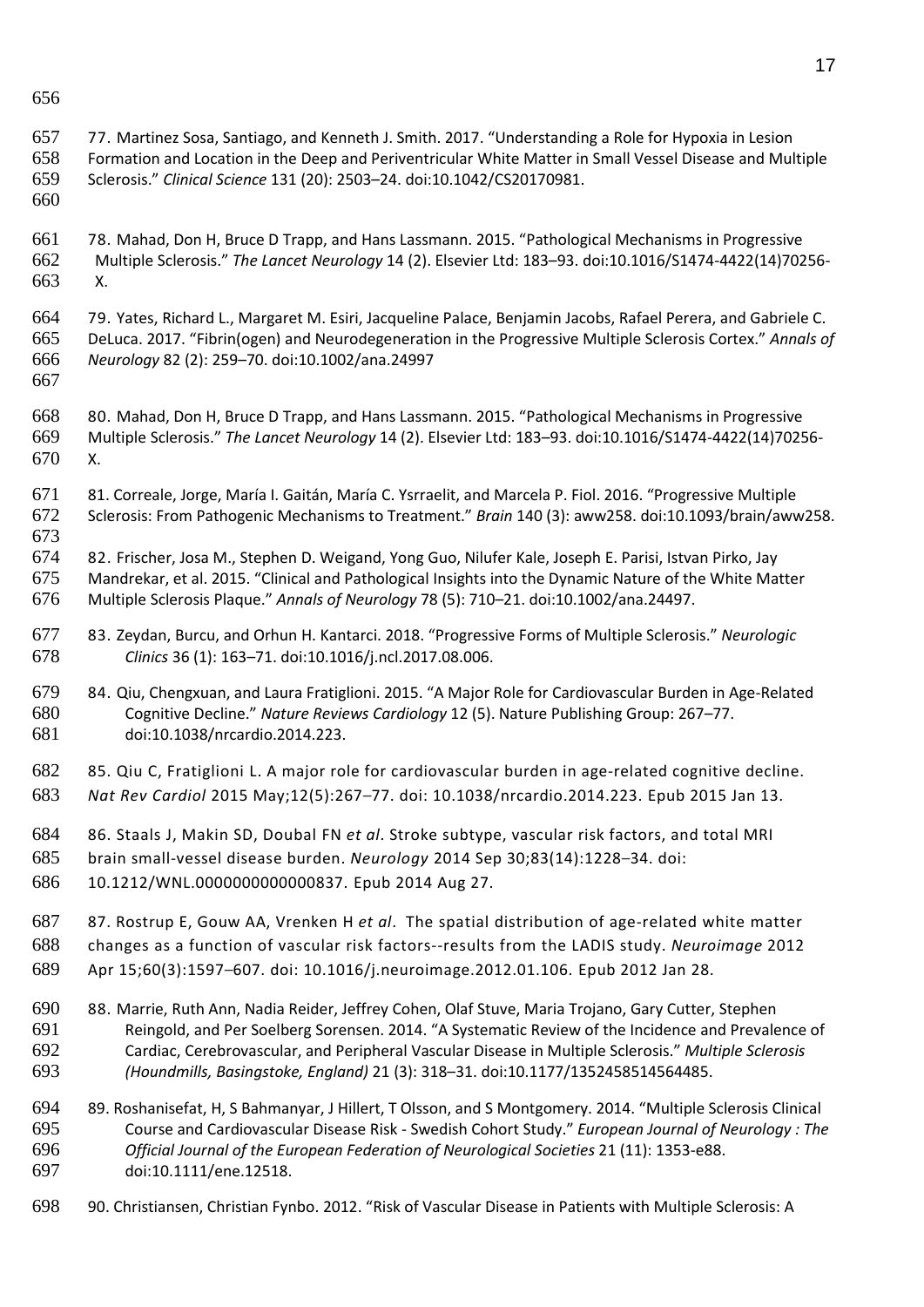- 77. Martinez Sosa, Santiago, and Kenneth J. Smith. 2017. "Understanding a Role for Hypoxia in Lesion Formation and Location in the Deep and Periventricular White Matter in Small Vessel Disease and Multiple Sclerosis." *Clinical Science* 131 (20): 2503–24. doi:10.1042/CS20170981.
- 
- 78. Mahad, Don H, Bruce D Trapp, and Hans Lassmann. 2015. "Pathological Mechanisms in Progressive Multiple Sclerosis." *The Lancet Neurology* 14 (2). Elsevier Ltd: 183–93. doi:10.1016/S1474-4422(14)70256- X.
- 79. Yates, Richard L., Margaret M. Esiri, Jacqueline Palace, Benjamin Jacobs, Rafael Perera, and Gabriele C. DeLuca. 2017. "Fibrin(ogen) and Neurodegeneration in the Progressive Multiple Sclerosis Cortex." *Annals of Neurology* 82 (2): 259–70. doi:10.1002/ana.24997
- 
- 80. Mahad, Don H, Bruce D Trapp, and Hans Lassmann. 2015. "Pathological Mechanisms in Progressive Multiple Sclerosis." *The Lancet Neurology* 14 (2). Elsevier Ltd: 183–93. doi:10.1016/S1474-4422(14)70256- X.
- 81. Correale, Jorge, María I. Gaitán, María C. Ysrraelit, and Marcela P. Fiol. 2016. "Progressive Multiple Sclerosis: From Pathogenic Mechanisms to Treatment." *Brain* 140 (3): aww258. doi:10.1093/brain/aww258.
- 82. Frischer, Josa M., Stephen D. Weigand, Yong Guo, Nilufer Kale, Joseph E. Parisi, Istvan Pirko, Jay Mandrekar, et al. 2015. "Clinical and Pathological Insights into the Dynamic Nature of the White Matter Multiple Sclerosis Plaque." *Annals of Neurology* 78 (5): 710–21. doi:10.1002/ana.24497.
- 83. Zeydan, Burcu, and Orhun H. Kantarci. 2018. "Progressive Forms of Multiple Sclerosis." *Neurologic Clinics* 36 (1): 163–71. doi:10.1016/j.ncl.2017.08.006.
- 84. Qiu, Chengxuan, and Laura Fratiglioni. 2015. "A Major Role for Cardiovascular Burden in Age-Related Cognitive Decline." *Nature Reviews Cardiology* 12 (5). Nature Publishing Group: 267–77. doi:10.1038/nrcardio.2014.223.
- 85. Qiu C, Fratiglioni L. A major role for cardiovascular burden in age-related cognitive decline. *Nat Rev Cardiol* 2015 May;12(5):267–77. doi: 10.1038/nrcardio.2014.223. Epub 2015 Jan 13.
- 86. Staals J, Makin SD, Doubal FN *et al*. Stroke subtype, vascular risk factors, and total MRI brain small-vessel disease burden. *Neurology* 2014 Sep 30;83(14):1228–34. doi:
- 10.1212/WNL.0000000000000837. Epub 2014 Aug 27.
- 87. Rostrup E, Gouw AA, Vrenken H *et al*. The spatial distribution of age-related white matter changes as a function of vascular risk factors--results from the LADIS study. *Neuroimage* 2012 Apr 15;60(3):1597–607. doi: 10.1016/j.neuroimage.2012.01.106. Epub 2012 Jan 28.
- 88. Marrie, Ruth Ann, Nadia Reider, Jeffrey Cohen, Olaf Stuve, Maria Trojano, Gary Cutter, Stephen Reingold, and Per Soelberg Sorensen. 2014. "A Systematic Review of the Incidence and Prevalence of Cardiac, Cerebrovascular, and Peripheral Vascular Disease in Multiple Sclerosis." *Multiple Sclerosis (Houndmills, Basingstoke, England)* 21 (3): 318–31. doi:10.1177/1352458514564485.
- 89. Roshanisefat, H, S Bahmanyar, J Hillert, T Olsson, and S Montgomery. 2014. "Multiple Sclerosis Clinical Course and Cardiovascular Disease Risk - Swedish Cohort Study." *European Journal of Neurology : The Official Journal of the European Federation of Neurological Societies* 21 (11): 1353-e88. doi:10.1111/ene.12518.
- 90. Christiansen, Christian Fynbo. 2012. "Risk of Vascular Disease in Patients with Multiple Sclerosis: A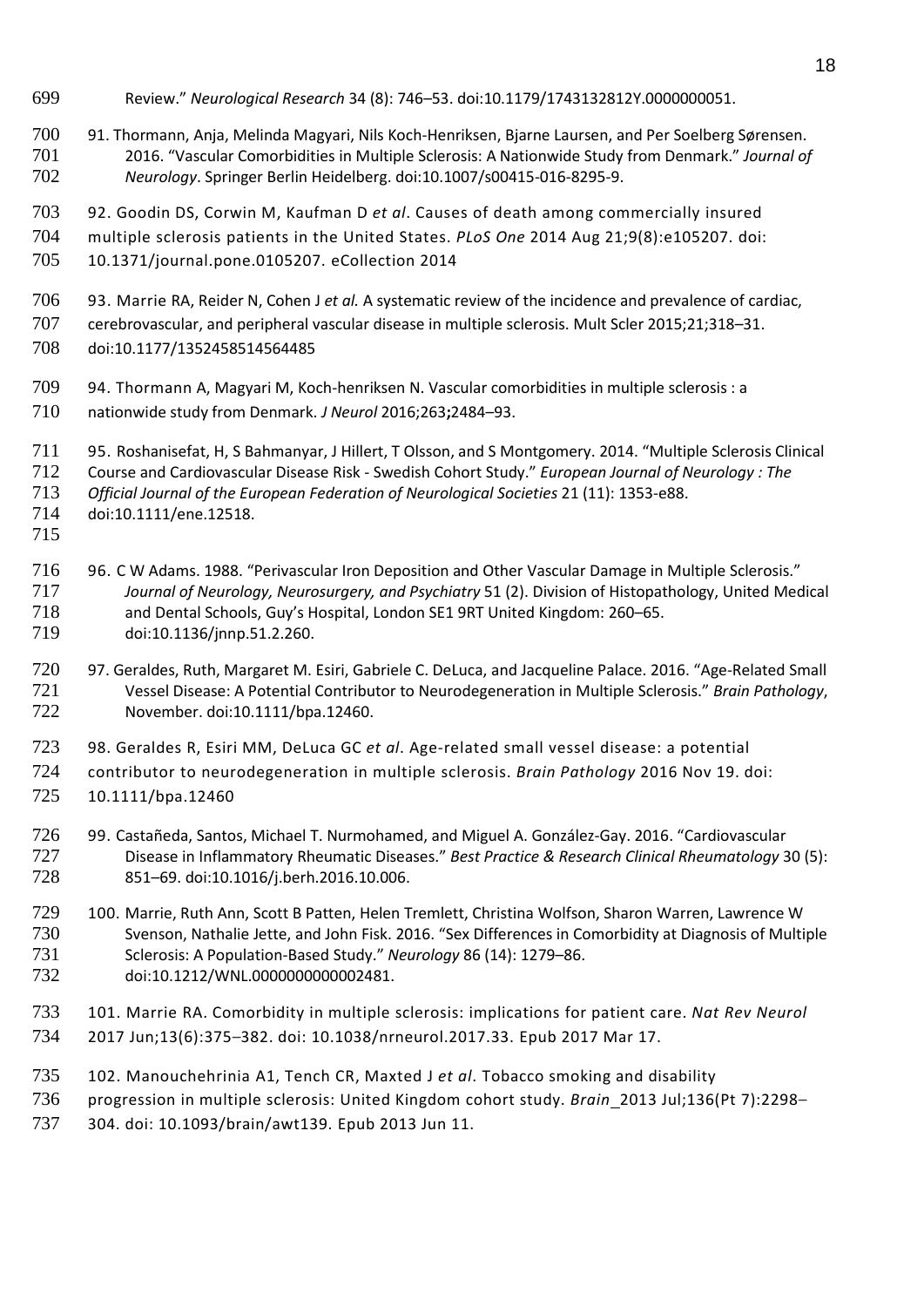- Review." *Neurological Research* 34 (8): 746–53. doi:10.1179/1743132812Y.0000000051.
- 91. Thormann, Anja, Melinda Magyari, Nils Koch-Henriksen, Bjarne Laursen, and Per Soelberg Sørensen. 2016. "Vascular Comorbidities in Multiple Sclerosis: A Nationwide Study from Denmark." *Journal of Neurology*. Springer Berlin Heidelberg. doi:10.1007/s00415-016-8295-9.
- 92. Goodin DS, Corwin M, Kaufman D *et al*. Causes of death among commercially insured
- multiple sclerosis patients in the United States. *PLoS One* 2014 Aug 21;9(8):e105207. doi:
- 10.1371/journal.pone.0105207. eCollection 2014
- 93. Marrie RA, Reider N, Cohen J *et al.* A systematic review of the incidence and prevalence of cardiac,
- cerebrovascular, and peripheral vascular disease in multiple sclerosis. Mult Scler 2015;21;318–31.
- doi:10.1177/1352458514564485
- 94. Thormann A, Magyari M, Koch-henriksen N. Vascular comorbidities in multiple sclerosis : a
- nationwide study from Denmark. *J Neurol* 2016;263**;**2484–93.
- 95. Roshanisefat, H, S Bahmanyar, J Hillert, T Olsson, and S Montgomery. 2014. "Multiple Sclerosis Clinical
- Course and Cardiovascular Disease Risk Swedish Cohort Study." *European Journal of Neurology : The*
- *Official Journal of the European Federation of Neurological Societies* 21 (11): 1353-e88.
- doi:10.1111/ene.12518.
- 
- 716 96. C W Adams. 1988. "Perivascular Iron Deposition and Other Vascular Damage in Multiple Sclerosis."<br>717 Journal of Neurology. Neurosurgery. and Psychiatry 51 (2). Division of Histopathology. United Mec *Journal of Neurology, Neurosurgery, and Psychiatry* 51 (2). Division of Histopathology, United Medical and Dental Schools, Guy's Hospital, London SE1 9RT United Kingdom: 260–65. doi:10.1136/jnnp.51.2.260.
- 97. Geraldes, Ruth, Margaret M. Esiri, Gabriele C. DeLuca, and Jacqueline Palace. 2016. "Age-Related Small Vessel Disease: A Potential Contributor to Neurodegeneration in Multiple Sclerosis." *Brain Pathology*, November. doi:10.1111/bpa.12460.
- 98. Geraldes R, Esiri MM, DeLuca GC *et al*. Age-related small vessel disease: a potential
- contributor to neurodegeneration in multiple sclerosis. *Brain Pathology* 2016 Nov 19. doi:
- 10.1111/bpa.12460
- 99. Castañeda, Santos, Michael T. Nurmohamed, and Miguel A. González-Gay. 2016. "Cardiovascular Disease in Inflammatory Rheumatic Diseases." *Best Practice & Research Clinical Rheumatology* 30 (5): 851–69. doi:10.1016/j.berh.2016.10.006.
- 100. Marrie, Ruth Ann, Scott B Patten, Helen Tremlett, Christina Wolfson, Sharon Warren, Lawrence W Svenson, Nathalie Jette, and John Fisk. 2016. "Sex Differences in Comorbidity at Diagnosis of Multiple Sclerosis: A Population-Based Study." *Neurology* 86 (14): 1279–86. doi:10.1212/WNL.0000000000002481.
- 101. Marrie RA. Comorbidity in multiple sclerosis: implications for patient care. *Nat Rev Neurol* 2017 Jun;13(6):375–382. doi: 10.1038/nrneurol.2017.33. Epub 2017 Mar 17.
- 102. Manouchehrinia A1, Tench CR, Maxted J *et al*. Tobacco smoking and disability
- progression in multiple sclerosis: United Kingdom cohort study. *Brain* 2013 Jul;136(Pt 7):2298–
- 304. doi: 10.1093/brain/awt139. Epub 2013 Jun 11.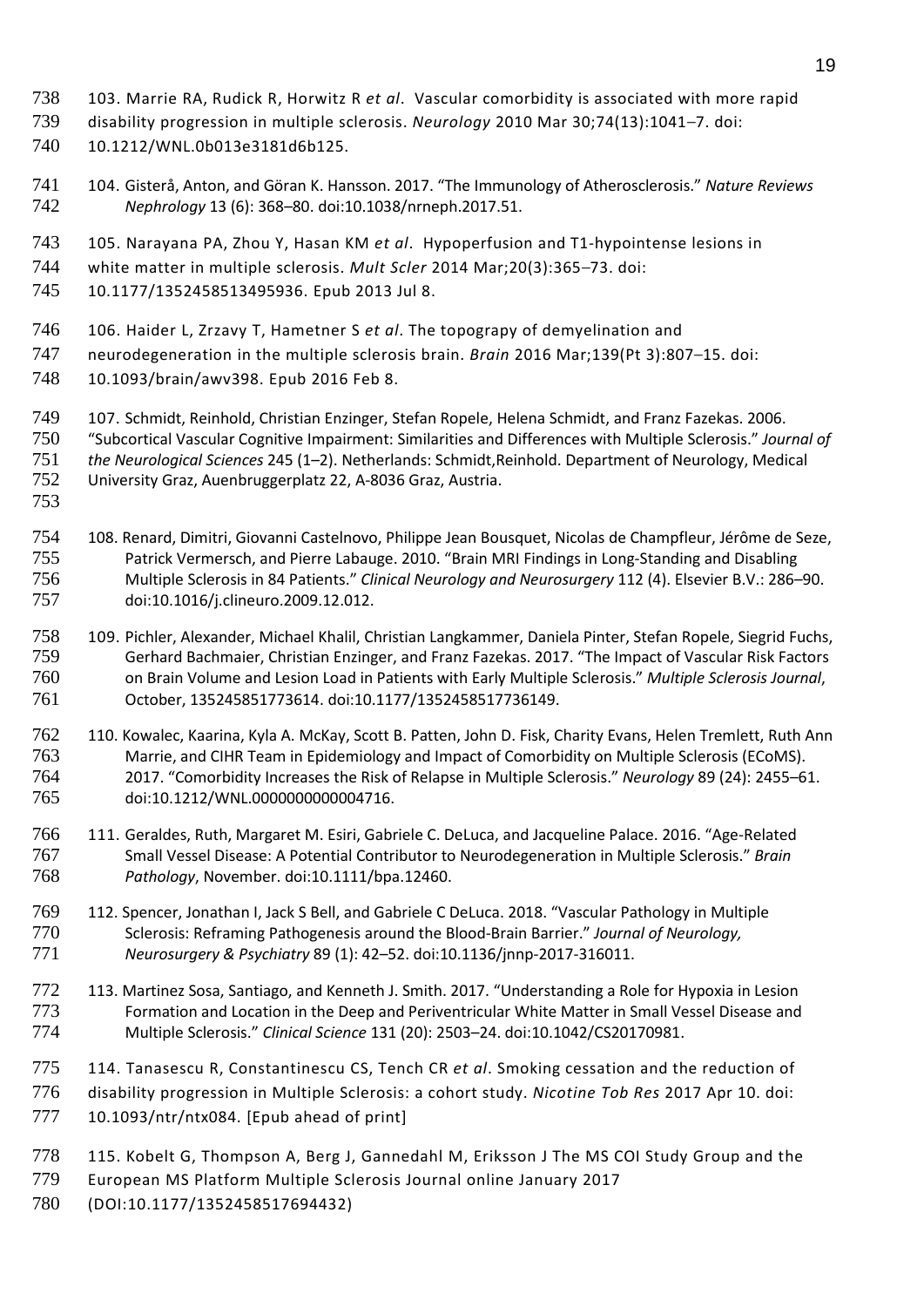- 103. Marrie RA, Rudick R, Horwitz R *et al*. Vascular comorbidity is associated with more rapid
- disability progression in multiple sclerosis. *Neurology* 2010 Mar 30;74(13):1041–7. doi:
- 10.1212/WNL.0b013e3181d6b125.
- 104. Gisterå, Anton, and Göran K. Hansson. 2017. "The Immunology of Atherosclerosis." *Nature Reviews Nephrology* 13 (6): 368–80. doi:10.1038/nrneph.2017.51.
- 105. Narayana PA, Zhou Y, Hasan KM *et al*. Hypoperfusion and T1-hypointense lesions in
- white matter in multiple sclerosis. *Mult Scler* 2014 Mar;20(3):365–73. doi:

10.1177/1352458513495936. Epub 2013 Jul 8.

- 106. Haider L, Zrzavy T, Hametner S *et al*. The topograpy of demyelination and
- neurodegeneration in the multiple sclerosis brain. *Brain* 2016 Mar;139(Pt 3):807–15. doi:
- 10.1093/brain/awv398. Epub 2016 Feb 8.
- 107. Schmidt, Reinhold, Christian Enzinger, Stefan Ropele, Helena Schmidt, and Franz Fazekas. 2006.
- "Subcortical Vascular Cognitive Impairment: Similarities and Differences with Multiple Sclerosis." *Journal of*
- *the Neurological Sciences* 245 (1–2). Netherlands: Schmidt,Reinhold. Department of Neurology, Medical
- University Graz, Auenbruggerplatz 22, A-8036 Graz, Austria.
- 
- 108. Renard, Dimitri, Giovanni Castelnovo, Philippe Jean Bousquet, Nicolas de Champfleur, Jérôme de Seze, Patrick Vermersch, and Pierre Labauge. 2010. "Brain MRI Findings in Long-Standing and Disabling Multiple Sclerosis in 84 Patients." *Clinical Neurology and Neurosurgery* 112 (4). Elsevier B.V.: 286–90. doi:10.1016/j.clineuro.2009.12.012.
- 109. Pichler, Alexander, Michael Khalil, Christian Langkammer, Daniela Pinter, Stefan Ropele, Siegrid Fuchs, Gerhard Bachmaier, Christian Enzinger, and Franz Fazekas. 2017. "The Impact of Vascular Risk Factors on Brain Volume and Lesion Load in Patients with Early Multiple Sclerosis." *Multiple Sclerosis Journal*, October, 135245851773614. doi:10.1177/1352458517736149.
- 110. Kowalec, Kaarina, Kyla A. McKay, Scott B. Patten, John D. Fisk, Charity Evans, Helen Tremlett, Ruth Ann Marrie, and CIHR Team in Epidemiology and Impact of Comorbidity on Multiple Sclerosis (ECoMS). 2017. "Comorbidity Increases the Risk of Relapse in Multiple Sclerosis." *Neurology* 89 (24): 2455–61. doi:10.1212/WNL.0000000000004716.
- 111. Geraldes, Ruth, Margaret M. Esiri, Gabriele C. DeLuca, and Jacqueline Palace. 2016. "Age-Related Small Vessel Disease: A Potential Contributor to Neurodegeneration in Multiple Sclerosis." *Brain Pathology*, November. doi:10.1111/bpa.12460.
- 112. Spencer, Jonathan I, Jack S Bell, and Gabriele C DeLuca. 2018. "Vascular Pathology in Multiple Sclerosis: Reframing Pathogenesis around the Blood-Brain Barrier." *Journal of Neurology, Neurosurgery & Psychiatry* 89 (1): 42–52. doi:10.1136/jnnp-2017-316011.
- 113. Martinez Sosa, Santiago, and Kenneth J. Smith. 2017. "Understanding a Role for Hypoxia in Lesion Formation and Location in the Deep and Periventricular White Matter in Small Vessel Disease and Multiple Sclerosis." *Clinical Science* 131 (20): 2503–24. doi:10.1042/CS20170981.
- 114. Tanasescu R, Constantinescu CS, Tench CR *et al*. Smoking cessation and the reduction of disability progression in Multiple Sclerosis: a cohort study. *Nicotine Tob Res* 2017 Apr 10. doi:
- 10.1093/ntr/ntx084. [Epub ahead of print]
- 115. Kobelt G, Thompson A, Berg J, Gannedahl M, Eriksson J The MS COI Study Group and the
- European MS Platform Multiple Sclerosis Journal online January 2017
- (DOI:10.1177/1352458517694432)